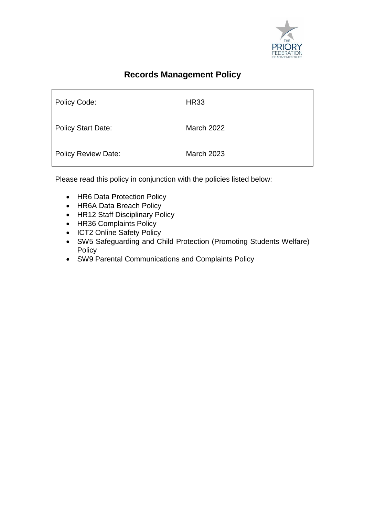

# **Records Management Policy**

| Policy Code:               | <b>HR33</b>       |
|----------------------------|-------------------|
| <b>Policy Start Date:</b>  | <b>March 2022</b> |
| <b>Policy Review Date:</b> | <b>March 2023</b> |

Please read this policy in conjunction with the policies listed below:

- HR6 Data Protection Policy
- HR6A Data Breach Policy
- HR12 Staff Disciplinary Policy
- HR36 Complaints Policy
- ICT2 Online Safety Policy
- SW5 Safeguarding and Child Protection (Promoting Students Welfare) **Policy**
- SW9 Parental Communications and Complaints Policy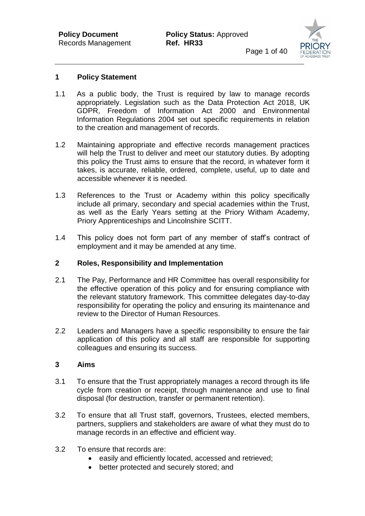

#### **1 Policy Statement**

- 1.1 As a public body, the Trust is required by law to manage records appropriately. Legislation such as the Data Protection Act 2018, UK GDPR, Freedom of Information Act 2000 and Environmental Information Regulations 2004 set out specific requirements in relation to the creation and management of records.
- 1.2 Maintaining appropriate and effective records management practices will help the Trust to deliver and meet our statutory duties. By adopting this policy the Trust aims to ensure that the record, in whatever form it takes, is accurate, reliable, ordered, complete, useful, up to date and accessible whenever it is needed.
- 1.3 References to the Trust or Academy within this policy specifically include all primary, secondary and special academies within the Trust, as well as the Early Years setting at the Priory Witham Academy, Priory Apprenticeships and Lincolnshire SCITT.
- 1.4 This policy does not form part of any member of staff's contract of employment and it may be amended at any time.

#### **2 Roles, Responsibility and Implementation**

- 2.1 The Pay, Performance and HR Committee has overall responsibility for the effective operation of this policy and for ensuring compliance with the relevant statutory framework. This committee delegates day-to-day responsibility for operating the policy and ensuring its maintenance and review to the Director of Human Resources.
- 2.2 Leaders and Managers have a specific responsibility to ensure the fair application of this policy and all staff are responsible for supporting colleagues and ensuring its success.

#### **3 Aims**

- 3.1 To ensure that the Trust appropriately manages a record through its life cycle from creation or receipt, through maintenance and use to final disposal (for destruction, transfer or permanent retention).
- 3.2 To ensure that all Trust staff, governors, Trustees, elected members, partners, suppliers and stakeholders are aware of what they must do to manage records in an effective and efficient way.
- 3.2 To ensure that records are:
	- easily and efficiently located, accessed and retrieved;
	- better protected and securely stored; and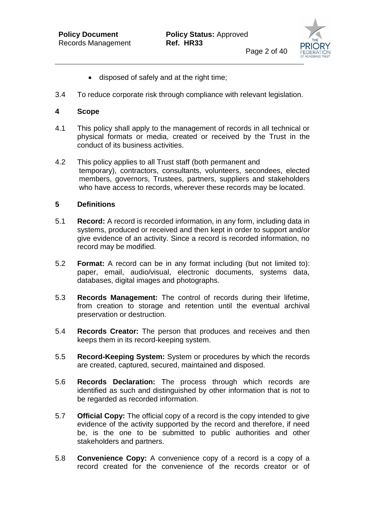

- disposed of safely and at the right time:
- 3.4 To reduce corporate risk through compliance with relevant legislation.

#### **4 Scope**

- 4.1 This policy shall apply to the management of records in all technical or physical formats or media, created or received by the Trust in the conduct of its business activities.
- 4.2 This policy applies to all Trust staff (both permanent and temporary), contractors, consultants, volunteers, secondees, elected members, governors, Trustees, partners, suppliers and stakeholders who have access to records, wherever these records may be located.

#### **5 Definitions**

- 5.1 **Record:** A record is recorded information, in any form, including data in systems, produced or received and then kept in order to support and/or give evidence of an activity. Since a record is recorded information, no record may be modified.
- 5.2 **Format:** A record can be in any format including (but not limited to): paper, email, audio/visual, electronic documents, systems data, databases, digital images and photographs.
- 5.3 **Records Management:** The control of records during their lifetime, from creation to storage and retention until the eventual archival preservation or destruction.
- 5.4 **Records Creator:** The person that produces and receives and then keeps them in its record-keeping system.
- 5.5 **Record-Keeping System:** System or procedures by which the records are created, captured, secured, maintained and disposed.
- 5.6 **Records Declaration:** The process through which records are identified as such and distinguished by other information that is not to be regarded as recorded information.
- 5.7 **Official Copy:** The official copy of a record is the copy intended to give evidence of the activity supported by the record and therefore, if need be, is the one to be submitted to public authorities and other stakeholders and partners.
- 5.8 **Convenience Copy:** A convenience copy of a record is a copy of a record created for the convenience of the records creator or of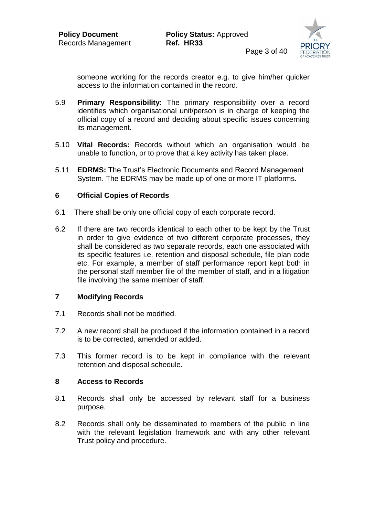

someone working for the records creator e.g. to give him/her quicker access to the information contained in the record.

- 5.9 **Primary Responsibility:** The primary responsibility over a record identifies which organisational unit/person is in charge of keeping the official copy of a record and deciding about specific issues concerning its management.
- 5.10 **Vital Records:** Records without which an organisation would be unable to function, or to prove that a key activity has taken place.
- 5.11 **EDRMS:** The Trust's Electronic Documents and Record Management System. The EDRMS may be made up of one or more IT platforms.

#### **6 Official Copies of Records**

- 6.1 There shall be only one official copy of each corporate record.
- 6.2 If there are two records identical to each other to be kept by the Trust in order to give evidence of two different corporate processes, they shall be considered as two separate records, each one associated with its specific features i.e. retention and disposal schedule, file plan code etc. For example, a member of staff performance report kept both in the personal staff member file of the member of staff, and in a litigation file involving the same member of staff.

#### **7 Modifying Records**

- 7.1 Records shall not be modified.
- 7.2 A new record shall be produced if the information contained in a record is to be corrected, amended or added.
- 7.3 This former record is to be kept in compliance with the relevant retention and disposal schedule.

#### **8 Access to Records**

- 8.1 Records shall only be accessed by relevant staff for a business purpose.
- 8.2 Records shall only be disseminated to members of the public in line with the relevant legislation framework and with any other relevant Trust policy and procedure.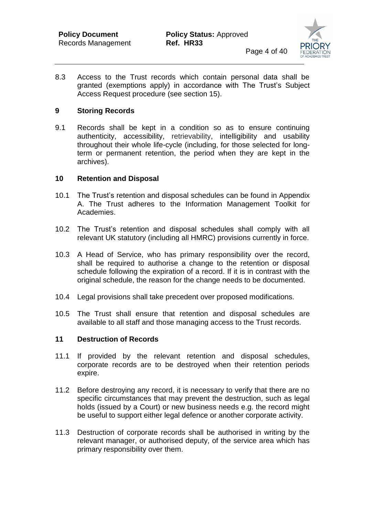

8.3 Access to the Trust records which contain personal data shall be granted (exemptions apply) in accordance with The Trust's Subject Access Request procedure (see section 15).

#### **9 Storing Records**

9.1 Records shall be kept in a condition so as to ensure continuing authenticity, accessibility, retrievability, intelligibility and usability throughout their whole life-cycle (including, for those selected for longterm or permanent retention, the period when they are kept in the archives).

#### **10 Retention and Disposal**

- 10.1 The Trust's retention and disposal schedules can be found in Appendix A. The Trust adheres to the Information Management Toolkit for Academies.
- 10.2 The Trust's retention and disposal schedules shall comply with all relevant UK statutory (including all HMRC) provisions currently in force.
- 10.3 A Head of Service, who has primary responsibility over the record, shall be required to authorise a change to the retention or disposal schedule following the expiration of a record. If it is in contrast with the original schedule, the reason for the change needs to be documented.
- 10.4 Legal provisions shall take precedent over proposed modifications.
- 10.5 The Trust shall ensure that retention and disposal schedules are available to all staff and those managing access to the Trust records.

#### **11 Destruction of Records**

- 11.1 If provided by the relevant retention and disposal schedules, corporate records are to be destroyed when their retention periods expire.
- 11.2 Before destroying any record, it is necessary to verify that there are no specific circumstances that may prevent the destruction, such as legal holds (issued by a Court) or new business needs e.g. the record might be useful to support either legal defence or another corporate activity.
- 11.3 Destruction of corporate records shall be authorised in writing by the relevant manager, or authorised deputy, of the service area which has primary responsibility over them.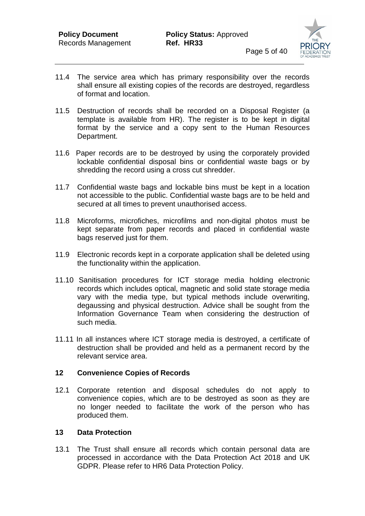

- 11.4 The service area which has primary responsibility over the records shall ensure all existing copies of the records are destroyed, regardless of format and location.
- 11.5 Destruction of records shall be recorded on a Disposal Register (a template is available from HR). The register is to be kept in digital format by the service and a copy sent to the Human Resources Department.
- 11.6 Paper records are to be destroyed by using the corporately provided lockable confidential disposal bins or confidential waste bags or by shredding the record using a cross cut shredder.
- 11.7 Confidential waste bags and lockable bins must be kept in a location not accessible to the public. Confidential waste bags are to be held and secured at all times to prevent unauthorised access.
- 11.8 Microforms, microfiches, microfilms and non-digital photos must be kept separate from paper records and placed in confidential waste bags reserved just for them.
- 11.9 Electronic records kept in a corporate application shall be deleted using the functionality within the application.
- 11.10 Sanitisation procedures for ICT storage media holding electronic records which includes optical, magnetic and solid state storage media vary with the media type, but typical methods include overwriting, degaussing and physical destruction. Advice shall be sought from the Information Governance Team when considering the destruction of such media.
- 11.11 In all instances where ICT storage media is destroyed, a certificate of destruction shall be provided and held as a permanent record by the relevant service area.

#### **12 Convenience Copies of Records**

12.1 Corporate retention and disposal schedules do not apply to convenience copies, which are to be destroyed as soon as they are no longer needed to facilitate the work of the person who has produced them.

#### **13 Data Protection**

13.1 The Trust shall ensure all records which contain personal data are processed in accordance with the Data Protection Act 2018 and UK GDPR. Please refer to HR6 Data Protection Policy.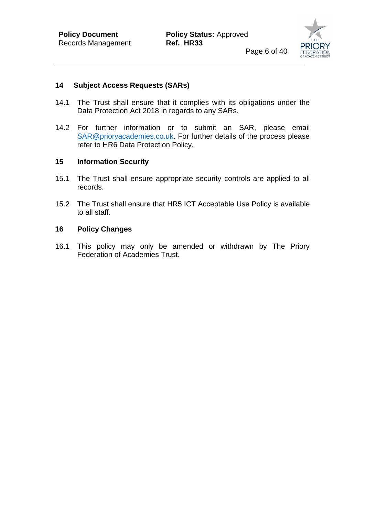

#### **14 Subject Access Requests (SARs)**

- 14.1 The Trust shall ensure that it complies with its obligations under the Data Protection Act 2018 in regards to any SARs.
- 14.2 For further information or to submit an SAR, please email [SAR@prioryacademies.co.uk.](mailto:SAR@prioryacademies.co.uk) For further details of the process please refer to HR6 Data Protection Policy.

#### **15 Information Security**

- 15.1 The Trust shall ensure appropriate security controls are applied to all records.
- 15.2 The Trust shall ensure that HR5 ICT Acceptable Use Policy is available to all staff.

#### **16 Policy Changes**

16.1 This policy may only be amended or withdrawn by The Priory Federation of Academies Trust.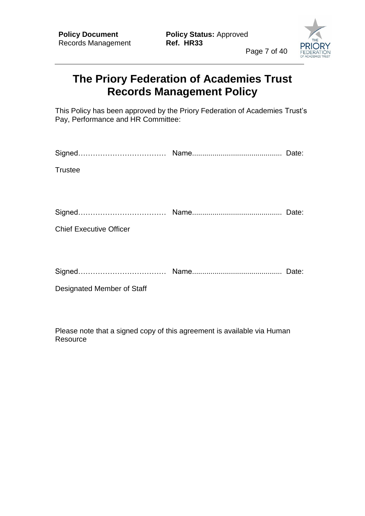

# **The Priory Federation of Academies Trust Records Management Policy**

This Policy has been approved by the Priory Federation of Academies Trust's Pay, Performance and HR Committee:

| <b>Trustee</b>                 |  |
|--------------------------------|--|
|                                |  |
|                                |  |
|                                |  |
| <b>Chief Executive Officer</b> |  |
|                                |  |
|                                |  |
|                                |  |
| Designated Member of Staff     |  |
|                                |  |

Please note that a signed copy of this agreement is available via Human **Resource**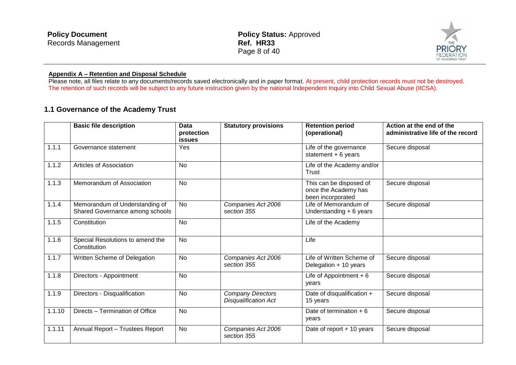| <b>Policy Document</b> | <b>Policy Status: Approved</b> |  |
|------------------------|--------------------------------|--|
| Records Management     | Ref. HR33                      |  |
|                        | Page 8 of 40                   |  |

# **FEDERATION** OF ACADEMIES TRUST

#### **Appendix A – Retention and Disposal Schedule**

Please note, all files relate to any documents/records saved electronically and in paper format. At present, child protection records must not be destroyed. The retention of such records will be subject to any future instruction given by the national Independent Inquiry into Child Sexual Abuse (IICSA).

#### **1.1 Governance of the Academy Trust**

|        | <b>Basic file description</b>                                     | Data<br>protection<br><b>issues</b> | <b>Statutory provisions</b>                             | <b>Retention period</b><br>(operational)                             | Action at the end of the<br>administrative life of the record |
|--------|-------------------------------------------------------------------|-------------------------------------|---------------------------------------------------------|----------------------------------------------------------------------|---------------------------------------------------------------|
| 1.1.1  | Governance statement                                              | Yes                                 |                                                         | Life of the governance<br>statement $+6$ years                       | Secure disposal                                               |
| 1.1.2  | Articles of Association                                           | No                                  |                                                         | Life of the Academy and/or<br>Trust                                  |                                                               |
| 1.1.3  | Memorandum of Association                                         | No                                  |                                                         | This can be disposed of<br>once the Academy has<br>been incorporated | Secure disposal                                               |
| 1.1.4  | Memorandum of Understanding of<br>Shared Governance among schools | <b>No</b>                           | Companies Act 2006<br>section 355                       | Life of Memorandum of<br>Understanding + 6 years                     | Secure disposal                                               |
| 1.1.5  | Constitution                                                      | <b>No</b>                           |                                                         | Life of the Academy                                                  |                                                               |
| 1.1.6  | Special Resolutions to amend the<br>Constitution                  | <b>No</b>                           |                                                         | Life                                                                 |                                                               |
| 1.1.7  | Written Scheme of Delegation                                      | <b>No</b>                           | Companies Act 2006<br>section 355                       | Life of Written Scheme of<br>Delegation + 10 years                   | Secure disposal                                               |
| 1.1.8  | Directors - Appointment                                           | <b>No</b>                           |                                                         | Life of Appointment $+6$<br>vears                                    | Secure disposal                                               |
| 1.1.9  | Directors - Disqualification                                      | <b>No</b>                           | <b>Company Directors</b><br><b>Disqualification Act</b> | Date of disqualification +<br>15 years                               | Secure disposal                                               |
| 1.1.10 | Directs - Termination of Office                                   | <b>No</b>                           |                                                         | Date of termination $+6$<br>years                                    | Secure disposal                                               |
| 1.1.11 | Annual Report - Trustees Report                                   | <b>No</b>                           | Companies Act 2006<br>section 355                       | Date of report + 10 years                                            | Secure disposal                                               |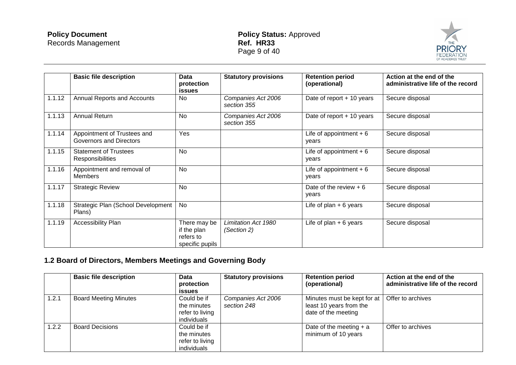

|        | <b>Basic file description</b>                           | <b>Data</b><br>protection<br>issues                         | <b>Statutory provisions</b>        | <b>Retention period</b><br>(operational) | Action at the end of the<br>administrative life of the record |
|--------|---------------------------------------------------------|-------------------------------------------------------------|------------------------------------|------------------------------------------|---------------------------------------------------------------|
| 1.1.12 | Annual Reports and Accounts                             | <b>No</b>                                                   | Companies Act 2006<br>section 355  | Date of report $+$ 10 years              | Secure disposal                                               |
| 1.1.13 | Annual Return                                           | No                                                          | Companies Act 2006<br>section 355  | Date of report + 10 years                | Secure disposal                                               |
| 1.1.14 | Appointment of Trustees and<br>Governors and Directors  | Yes                                                         |                                    | Life of appointment $+6$<br>vears        | Secure disposal                                               |
| 1.1.15 | <b>Statement of Trustees</b><br><b>Responsibilities</b> | <b>No</b>                                                   |                                    | Life of appointment $+6$<br>years        | Secure disposal                                               |
| 1.1.16 | Appointment and removal of<br><b>Members</b>            | No                                                          |                                    | Life of appointment $+6$<br>years        | Secure disposal                                               |
| 1.1.17 | <b>Strategic Review</b>                                 | <b>No</b>                                                   |                                    | Date of the review $+6$<br>vears         | Secure disposal                                               |
| 1.1.18 | Strategic Plan (School Development<br>Plans)            | No                                                          |                                    | Life of plan $+6$ years                  | Secure disposal                                               |
| 1.1.19 | Accessibility Plan                                      | There may be<br>if the plan<br>refers to<br>specific pupils | Limitation Act 1980<br>(Section 2) | Life of plan $+6$ years                  | Secure disposal                                               |

# **1.2 Board of Directors, Members Meetings and Governing Body**

|       | <b>Basic file description</b> | <b>Data</b><br>protection<br><b>issues</b>                   | <b>Statutory provisions</b>       | <b>Retention period</b><br>(operational)                                      | Action at the end of the<br>administrative life of the record |
|-------|-------------------------------|--------------------------------------------------------------|-----------------------------------|-------------------------------------------------------------------------------|---------------------------------------------------------------|
| 1.2.1 | <b>Board Meeting Minutes</b>  | Could be if<br>the minutes<br>refer to living<br>individuals | Companies Act 2006<br>section 248 | Minutes must be kept for at<br>least 10 years from the<br>date of the meeting | Offer to archives                                             |
| 1.2.2 | <b>Board Decisions</b>        | Could be if<br>the minutes<br>refer to living<br>individuals |                                   | Date of the meeting $+ a$<br>minimum of 10 years                              | Offer to archives                                             |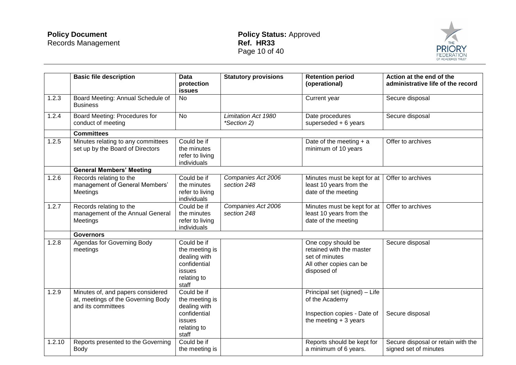

|        | <b>Basic file description</b>                                                                 | <b>Data</b><br>protection<br>issues                                                             | <b>Statutory provisions</b>               | <b>Retention period</b><br>(operational)                                                                   | Action at the end of the<br>administrative life of the record |
|--------|-----------------------------------------------------------------------------------------------|-------------------------------------------------------------------------------------------------|-------------------------------------------|------------------------------------------------------------------------------------------------------------|---------------------------------------------------------------|
| 1.2.3  | Board Meeting: Annual Schedule of<br><b>Business</b>                                          | <b>No</b>                                                                                       |                                           | Current year                                                                                               | Secure disposal                                               |
| 1.2.4  | Board Meeting: Procedures for<br>conduct of meeting                                           | <b>No</b>                                                                                       | <b>Limitation Act 1980</b><br>*Section 2) | Date procedures<br>superseded $+6$ years                                                                   | Secure disposal                                               |
|        | <b>Committees</b>                                                                             |                                                                                                 |                                           |                                                                                                            |                                                               |
| 1.2.5  | Minutes relating to any committees<br>set up by the Board of Directors                        | Could be if<br>the minutes<br>refer to living<br>individuals                                    |                                           | Date of the meeting $+$ a<br>minimum of 10 years                                                           | Offer to archives                                             |
|        | <b>General Members' Meeting</b>                                                               |                                                                                                 |                                           |                                                                                                            |                                                               |
| 1.2.6  | Records relating to the<br>management of General Members'<br>Meetings                         | Could be if<br>the minutes<br>refer to living<br>individuals                                    | Companies Act 2006<br>section 248         | Minutes must be kept for at<br>least 10 years from the<br>date of the meeting                              | Offer to archives                                             |
| 1.2.7  | Records relating to the<br>management of the Annual General<br>Meetings                       | Could be if<br>the minutes<br>refer to living<br>individuals                                    | Companies Act 2006<br>section 248         | Minutes must be kept for at<br>least 10 years from the<br>date of the meeting                              | Offer to archives                                             |
|        | <b>Governors</b>                                                                              |                                                                                                 |                                           |                                                                                                            |                                                               |
| 1.2.8  | Agendas for Governing Body<br>meetings                                                        | Could be if<br>the meeting is<br>dealing with<br>confidential<br>issues<br>relating to<br>staff |                                           | One copy should be<br>retained with the master<br>set of minutes<br>All other copies can be<br>disposed of | Secure disposal                                               |
| 1.2.9  | Minutes of, and papers considered<br>at, meetings of the Governing Body<br>and its committees | Could be if<br>the meeting is<br>dealing with<br>confidential<br>issues<br>relating to<br>staff |                                           | Principal set (signed) - Life<br>of the Academy<br>Inspection copies - Date of<br>the meeting $+3$ years   | Secure disposal                                               |
| 1.2.10 | Reports presented to the Governing<br>Body                                                    | Could be if<br>the meeting is                                                                   |                                           | Reports should be kept for<br>a minimum of 6 years.                                                        | Secure disposal or retain with the<br>signed set of minutes   |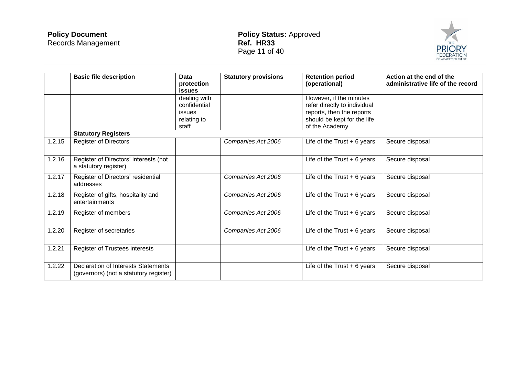

|        | <b>Basic file description</b>                                                        | Data<br>protection<br>issues                                   | <b>Statutory provisions</b> | <b>Retention period</b><br>(operational)                                                                                              | Action at the end of the<br>administrative life of the record |
|--------|--------------------------------------------------------------------------------------|----------------------------------------------------------------|-----------------------------|---------------------------------------------------------------------------------------------------------------------------------------|---------------------------------------------------------------|
|        |                                                                                      | dealing with<br>confidential<br>issues<br>relating to<br>staff |                             | However, if the minutes<br>refer directly to individual<br>reports, then the reports<br>should be kept for the life<br>of the Academy |                                                               |
|        | <b>Statutory Registers</b>                                                           |                                                                |                             |                                                                                                                                       |                                                               |
| 1.2.15 | <b>Register of Directors</b>                                                         |                                                                | Companies Act 2006          | Life of the Trust $+6$ years                                                                                                          | Secure disposal                                               |
| 1.2.16 | Register of Directors' interests (not<br>a statutory register)                       |                                                                |                             | Life of the Trust $+6$ years                                                                                                          | Secure disposal                                               |
| 1.2.17 | Register of Directors' residential<br>addresses                                      |                                                                | Companies Act 2006          | Life of the $Trust + 6 years$                                                                                                         | Secure disposal                                               |
| 1.2.18 | Register of gifts, hospitality and<br>entertainments                                 |                                                                | Companies Act 2006          | Life of the $Trust + 6 years$                                                                                                         | Secure disposal                                               |
| 1.2.19 | Register of members                                                                  |                                                                | Companies Act 2006          | Life of the Trust $+6$ years                                                                                                          | Secure disposal                                               |
| 1.2.20 | Register of secretaries                                                              |                                                                | Companies Act 2006          | Life of the $Trust + 6 years$                                                                                                         | Secure disposal                                               |
| 1.2.21 | Register of Trustees interests                                                       |                                                                |                             | Life of the Trust $+6$ years                                                                                                          | Secure disposal                                               |
| 1.2.22 | <b>Declaration of Interests Statements</b><br>(governors) (not a statutory register) |                                                                |                             | Life of the Trust $+6$ years                                                                                                          | Secure disposal                                               |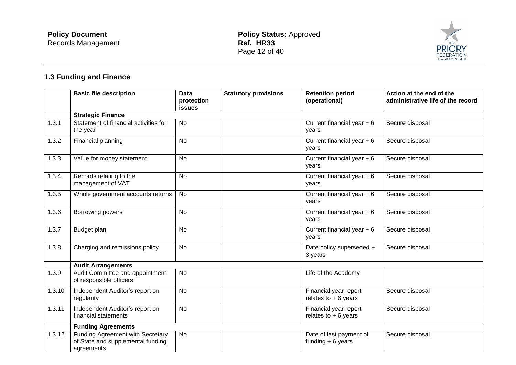

# **1.3 Funding and Finance**

|        | <b>Basic file description</b>                                                       | Data<br>protection | <b>Statutory provisions</b> | <b>Retention period</b><br>(operational)       | Action at the end of the<br>administrative life of the record |
|--------|-------------------------------------------------------------------------------------|--------------------|-----------------------------|------------------------------------------------|---------------------------------------------------------------|
|        | <b>Strategic Finance</b>                                                            | <b>issues</b>      |                             |                                                |                                                               |
| 1.3.1  | Statement of financial activities for<br>the year                                   | <b>No</b>          |                             | Current financial year + 6<br>years            | Secure disposal                                               |
| 1.3.2  | Financial planning                                                                  | <b>No</b>          |                             | Current financial year $+6$<br>years           | Secure disposal                                               |
| 1.3.3  | Value for money statement                                                           | <b>No</b>          |                             | Current financial year $+6$<br>years           | Secure disposal                                               |
| 1.3.4  | Records relating to the<br>management of VAT                                        | <b>No</b>          |                             | Current financial year $+6$<br>years           | Secure disposal                                               |
| 1.3.5  | Whole government accounts returns                                                   | No                 |                             | Current financial year $+6$<br>years           | Secure disposal                                               |
| 1.3.6  | Borrowing powers                                                                    | <b>No</b>          |                             | Current financial year $+6$<br>years           | Secure disposal                                               |
| 1.3.7  | Budget plan                                                                         | No                 |                             | Current financial year $+6$<br>years           | Secure disposal                                               |
| 1.3.8  | Charging and remissions policy                                                      | <b>No</b>          |                             | Date policy superseded +<br>3 years            | Secure disposal                                               |
|        | <b>Audit Arrangements</b>                                                           |                    |                             |                                                |                                                               |
| 1.3.9  | Audit Committee and appointment<br>of responsible officers                          | <b>No</b>          |                             | Life of the Academy                            |                                                               |
| 1.3.10 | Independent Auditor's report on<br>regularity                                       | No                 |                             | Financial year report<br>relates to $+6$ years | Secure disposal                                               |
| 1.3.11 | Independent Auditor's report on<br>financial statements                             | No                 |                             | Financial year report<br>relates to $+6$ years | Secure disposal                                               |
|        | <b>Funding Agreements</b>                                                           |                    |                             |                                                |                                                               |
| 1.3.12 | Funding Agreement with Secretary<br>of State and supplemental funding<br>agreements | <b>No</b>          |                             | Date of last payment of<br>funding $+6$ years  | Secure disposal                                               |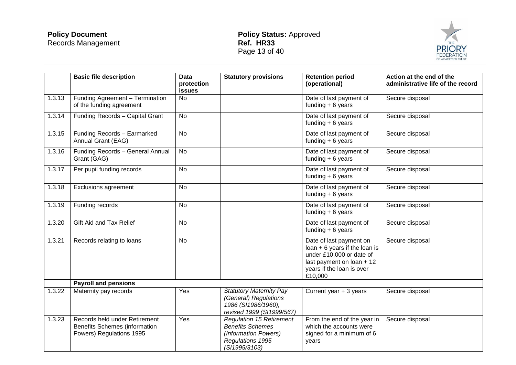

|        | <b>Basic file description</b>                                                                     | <b>Data</b><br>protection<br><b>issues</b> | <b>Statutory provisions</b>                                                                                             | <b>Retention period</b><br>(operational)                                                                                                                    | Action at the end of the<br>administrative life of the record |
|--------|---------------------------------------------------------------------------------------------------|--------------------------------------------|-------------------------------------------------------------------------------------------------------------------------|-------------------------------------------------------------------------------------------------------------------------------------------------------------|---------------------------------------------------------------|
| 1.3.13 | Funding Agreement - Termination<br>of the funding agreement                                       | No                                         |                                                                                                                         | Date of last payment of<br>funding $+6$ years                                                                                                               | Secure disposal                                               |
| 1.3.14 | Funding Records - Capital Grant                                                                   | <b>No</b>                                  |                                                                                                                         | Date of last payment of<br>funding $+6$ years                                                                                                               | Secure disposal                                               |
| 1.3.15 | Funding Records - Earmarked<br>Annual Grant (EAG)                                                 | <b>No</b>                                  |                                                                                                                         | Date of last payment of<br>funding $+ 6$ years                                                                                                              | Secure disposal                                               |
| 1.3.16 | Funding Records - General Annual<br>Grant (GAG)                                                   | No                                         |                                                                                                                         | Date of last payment of<br>funding $+6$ years                                                                                                               | Secure disposal                                               |
| 1.3.17 | Per pupil funding records                                                                         | <b>No</b>                                  |                                                                                                                         | Date of last payment of<br>funding $+6$ years                                                                                                               | Secure disposal                                               |
| 1.3.18 | <b>Exclusions agreement</b>                                                                       | No                                         |                                                                                                                         | Date of last payment of<br>funding $+6$ years                                                                                                               | Secure disposal                                               |
| 1.3.19 | Funding records                                                                                   | No                                         |                                                                                                                         | Date of last payment of<br>funding $+6$ years                                                                                                               | Secure disposal                                               |
| 1.3.20 | Gift Aid and Tax Relief                                                                           | <b>No</b>                                  |                                                                                                                         | Date of last payment of<br>funding $+6$ years                                                                                                               | Secure disposal                                               |
| 1.3.21 | Records relating to loans                                                                         | <b>No</b>                                  |                                                                                                                         | Date of last payment on<br>$loan + 6$ years if the loan is<br>under £10,000 or date of<br>last payment on loan + 12<br>years if the loan is over<br>£10,000 | Secure disposal                                               |
|        | <b>Payroll and pensions</b>                                                                       |                                            |                                                                                                                         |                                                                                                                                                             |                                                               |
| 1.3.22 | Maternity pay records                                                                             | Yes                                        | <b>Statutory Maternity Pay</b><br>(General) Regulations<br>1986 (SI1986/1960),<br>revised 1999 (SI1999/567)             | Current year + 3 years                                                                                                                                      | Secure disposal                                               |
| 1.3.23 | Records held under Retirement<br><b>Benefits Schemes (information</b><br>Powers) Regulations 1995 | Yes                                        | <b>Regulation 15 Retirement</b><br><b>Benefits Schemes</b><br>(Information Powers)<br>Regulations 1995<br>(SI1995/3103) | From the end of the year in<br>which the accounts were<br>signed for a minimum of 6<br>years                                                                | Secure disposal                                               |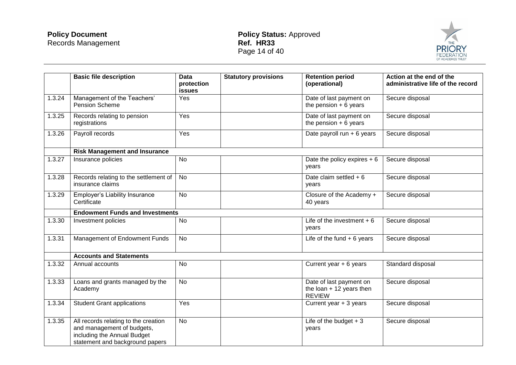

|        | <b>Basic file description</b>                                                                                                        | <b>Data</b><br>protection<br>issues | <b>Statutory provisions</b> | <b>Retention period</b><br>(operational)                              | Action at the end of the<br>administrative life of the record |
|--------|--------------------------------------------------------------------------------------------------------------------------------------|-------------------------------------|-----------------------------|-----------------------------------------------------------------------|---------------------------------------------------------------|
| 1.3.24 | Management of the Teachers'<br><b>Pension Scheme</b>                                                                                 | Yes                                 |                             | Date of last payment on<br>the pension $+6$ years                     | Secure disposal                                               |
| 1.3.25 | Records relating to pension<br>registrations                                                                                         | Yes                                 |                             | Date of last payment on<br>the pension $+ 6$ years                    | Secure disposal                                               |
| 1.3.26 | Payroll records                                                                                                                      | Yes                                 |                             | Date payroll run + 6 years                                            | Secure disposal                                               |
|        | <b>Risk Management and Insurance</b>                                                                                                 |                                     |                             |                                                                       |                                                               |
| 1.3.27 | Insurance policies                                                                                                                   | No                                  |                             | Date the policy expires $+6$<br>years                                 | Secure disposal                                               |
| 1.3.28 | Records relating to the settlement of<br>insurance claims                                                                            | No                                  |                             | Date claim settled $+6$<br>vears                                      | Secure disposal                                               |
| 1.3.29 | <b>Employer's Liability Insurance</b><br>Certificate                                                                                 | <b>No</b>                           |                             | Closure of the Academy +<br>40 years                                  | Secure disposal                                               |
|        | <b>Endowment Funds and Investments</b>                                                                                               |                                     |                             |                                                                       |                                                               |
| 1.3.30 | Investment policies                                                                                                                  | <b>No</b>                           |                             | Life of the investment $+6$<br>years                                  | Secure disposal                                               |
| 1.3.31 | Management of Endowment Funds                                                                                                        | <b>No</b>                           |                             | Life of the fund $+6$ years                                           | Secure disposal                                               |
|        | <b>Accounts and Statements</b>                                                                                                       |                                     |                             |                                                                       |                                                               |
| 1.3.32 | Annual accounts                                                                                                                      | <b>No</b>                           |                             | Current year $+6$ years                                               | Standard disposal                                             |
| 1.3.33 | Loans and grants managed by the<br>Academy                                                                                           | <b>No</b>                           |                             | Date of last payment on<br>the loan $+12$ years then<br><b>REVIEW</b> | Secure disposal                                               |
| 1.3.34 | <b>Student Grant applications</b>                                                                                                    | Yes                                 |                             | Current year + 3 years                                                | Secure disposal                                               |
| 1.3.35 | All records relating to the creation<br>and management of budgets,<br>including the Annual Budget<br>statement and background papers | <b>No</b>                           |                             | Life of the budget $+3$<br>years                                      | Secure disposal                                               |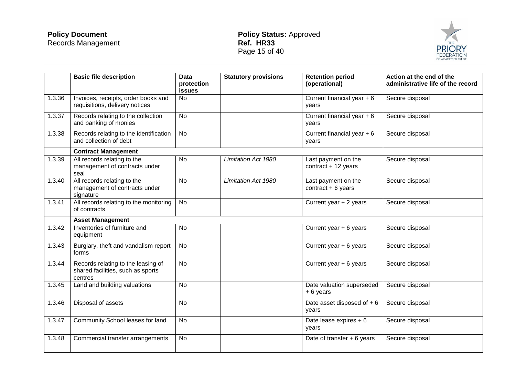

|        | <b>Basic file description</b>                                                      | <b>Data</b><br>protection<br><b>issues</b> | <b>Statutory provisions</b> | <b>Retention period</b><br>(operational)    | Action at the end of the<br>administrative life of the record |
|--------|------------------------------------------------------------------------------------|--------------------------------------------|-----------------------------|---------------------------------------------|---------------------------------------------------------------|
| 1.3.36 | Invoices, receipts, order books and<br>requisitions, delivery notices              | No                                         |                             | Current financial year $+6$<br>years        | Secure disposal                                               |
| 1.3.37 | Records relating to the collection<br>and banking of monies                        | No                                         |                             | Current financial year $+6$<br>years        | Secure disposal                                               |
| 1.3.38 | Records relating to the identification<br>and collection of debt                   | No                                         |                             | Current financial year $+6$<br>years        | Secure disposal                                               |
|        | <b>Contract Management</b>                                                         |                                            |                             |                                             |                                                               |
| 1.3.39 | All records relating to the<br>management of contracts under<br>seal               | <b>No</b>                                  | Limitation Act 1980         | Last payment on the<br>contract $+12$ years | Secure disposal                                               |
| 1.3.40 | All records relating to the<br>management of contracts under<br>signature          | <b>No</b>                                  | Limitation Act 1980         | Last payment on the<br>contract $+6$ years  | Secure disposal                                               |
| 1.3.41 | All records relating to the monitoring<br>of contracts                             | <b>No</b>                                  |                             | Current year + 2 years                      | Secure disposal                                               |
|        | <b>Asset Management</b>                                                            |                                            |                             |                                             |                                                               |
| 1.3.42 | Inventories of furniture and<br>equipment                                          | <b>No</b>                                  |                             | Current year $+ 6$ years                    | Secure disposal                                               |
| 1.3.43 | Burglary, theft and vandalism report<br>forms                                      | <b>No</b>                                  |                             | Current year $+ 6$ years                    | Secure disposal                                               |
| 1.3.44 | Records relating to the leasing of<br>shared facilities, such as sports<br>centres | <b>No</b>                                  |                             | Current year $+ 6$ years                    | Secure disposal                                               |
| 1.3.45 | Land and building valuations                                                       | <b>No</b>                                  |                             | Date valuation superseded<br>+6 years       | Secure disposal                                               |
| 1.3.46 | Disposal of assets                                                                 | <b>No</b>                                  |                             | Date asset disposed of +6<br>years          | Secure disposal                                               |
| 1.3.47 | Community School leases for land                                                   | <b>No</b>                                  |                             | Date lease expires + 6<br>years             | Secure disposal                                               |
| 1.3.48 | Commercial transfer arrangements                                                   | <b>No</b>                                  |                             | Date of transfer $+ 6$ years                | Secure disposal                                               |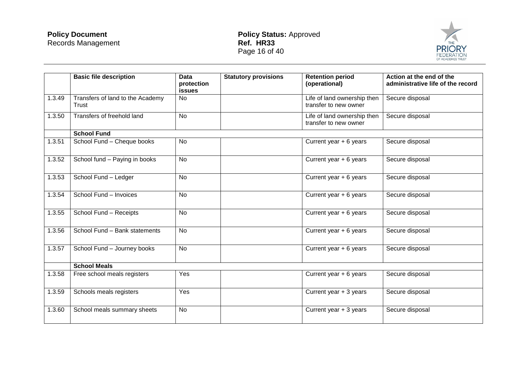

|        | <b>Basic file description</b>             | <b>Data</b><br>protection<br><b>issues</b> | <b>Statutory provisions</b> | <b>Retention period</b><br>(operational)             | Action at the end of the<br>administrative life of the record |
|--------|-------------------------------------------|--------------------------------------------|-----------------------------|------------------------------------------------------|---------------------------------------------------------------|
| 1.3.49 | Transfers of land to the Academy<br>Trust | <b>No</b>                                  |                             | Life of land ownership then<br>transfer to new owner | Secure disposal                                               |
| 1.3.50 | Transfers of freehold land                | <b>No</b>                                  |                             | Life of land ownership then<br>transfer to new owner | Secure disposal                                               |
|        | <b>School Fund</b>                        |                                            |                             |                                                      |                                                               |
| 1.3.51 | School Fund - Cheque books                | <b>No</b>                                  |                             | Current year $+ 6$ years                             | Secure disposal                                               |
| 1.3.52 | School fund - Paying in books             | No                                         |                             | Current year + 6 years                               | Secure disposal                                               |
| 1.3.53 | School Fund - Ledger                      | <b>No</b>                                  |                             | Current year $+ 6$ years                             | Secure disposal                                               |
| 1.3.54 | School Fund - Invoices                    | <b>No</b>                                  |                             | Current year $+ 6$ years                             | Secure disposal                                               |
| 1.3.55 | School Fund - Receipts                    | <b>No</b>                                  |                             | Current year $+ 6$ years                             | Secure disposal                                               |
| 1.3.56 | School Fund - Bank statements             | <b>No</b>                                  |                             | Current year + 6 years                               | Secure disposal                                               |
| 1.3.57 | School Fund - Journey books               | <b>No</b>                                  |                             | Current year $+ 6$ years                             | Secure disposal                                               |
|        | <b>School Meals</b>                       |                                            |                             |                                                      |                                                               |
| 1.3.58 | Free school meals registers               | Yes                                        |                             | Current year $+ 6$ years                             | Secure disposal                                               |
| 1.3.59 | Schools meals registers                   | Yes                                        |                             | Current year + 3 years                               | Secure disposal                                               |
| 1.3.60 | School meals summary sheets               | <b>No</b>                                  |                             | Current year + 3 years                               | Secure disposal                                               |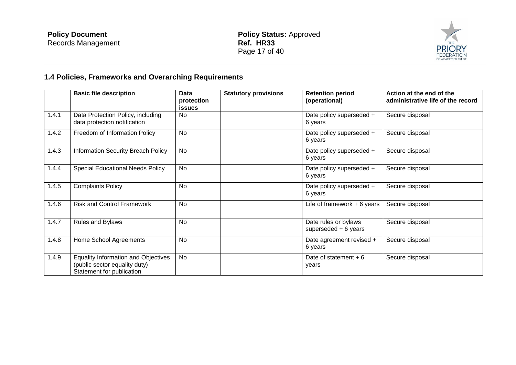

# **1.4 Policies, Frameworks and Overarching Requirements**

|       | <b>Basic file description</b>                                                                            | Data<br>protection<br><b>issues</b> | <b>Statutory provisions</b> | <b>Retention period</b><br>(operational)      | Action at the end of the<br>administrative life of the record |
|-------|----------------------------------------------------------------------------------------------------------|-------------------------------------|-----------------------------|-----------------------------------------------|---------------------------------------------------------------|
| 1.4.1 | Data Protection Policy, including<br>data protection notification                                        | <b>No</b>                           |                             | Date policy superseded +<br>6 years           | Secure disposal                                               |
| 1.4.2 | Freedom of Information Policy                                                                            | <b>No</b>                           |                             | Date policy superseded +<br>6 years           | Secure disposal                                               |
| 1.4.3 | Information Security Breach Policy                                                                       | <b>No</b>                           |                             | Date policy superseded +<br>6 years           | Secure disposal                                               |
| 1.4.4 | <b>Special Educational Needs Policy</b>                                                                  | No                                  |                             | Date policy superseded +<br>6 years           | Secure disposal                                               |
| 1.4.5 | <b>Complaints Policy</b>                                                                                 | <b>No</b>                           |                             | Date policy superseded +<br>6 years           | Secure disposal                                               |
| 1.4.6 | <b>Risk and Control Framework</b>                                                                        | <b>No</b>                           |                             | Life of framework $+6$ years                  | Secure disposal                                               |
| 1.4.7 | Rules and Bylaws                                                                                         | <b>No</b>                           |                             | Date rules or bylaws<br>superseded $+6$ years | Secure disposal                                               |
| 1.4.8 | Home School Agreements                                                                                   | <b>No</b>                           |                             | Date agreement revised +<br>6 years           | Secure disposal                                               |
| 1.4.9 | <b>Equality Information and Objectives</b><br>(public sector equality duty)<br>Statement for publication | <b>No</b>                           |                             | Date of statement $+6$<br>years               | Secure disposal                                               |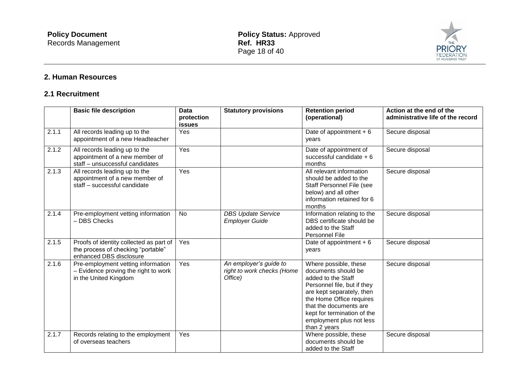

# **2. Human Resources**

### **2.1 Recruitment**

|       | <b>Basic file description</b>                                                                            | <b>Data</b><br>protection<br><b>issues</b> | <b>Statutory provisions</b>                                     | <b>Retention period</b><br>(operational)                                                                                                                                                                                                                        | Action at the end of the<br>administrative life of the record |
|-------|----------------------------------------------------------------------------------------------------------|--------------------------------------------|-----------------------------------------------------------------|-----------------------------------------------------------------------------------------------------------------------------------------------------------------------------------------------------------------------------------------------------------------|---------------------------------------------------------------|
| 2.1.1 | All records leading up to the<br>appointment of a new Headteacher                                        | Yes                                        |                                                                 | Date of appointment $+6$<br>vears                                                                                                                                                                                                                               | Secure disposal                                               |
| 2.1.2 | All records leading up to the<br>appointment of a new member of<br>staff - unsuccessful candidates       | Yes                                        |                                                                 | Date of appointment of<br>successful candidate $+6$<br>months                                                                                                                                                                                                   | Secure disposal                                               |
| 2.1.3 | All records leading up to the<br>appointment of a new member of<br>staff - successful candidate          | Yes                                        |                                                                 | All relevant information<br>should be added to the<br>Staff Personnel File (see<br>below) and all other<br>information retained for 6<br>months                                                                                                                 | Secure disposal                                               |
| 2.1.4 | Pre-employment vetting information<br>- DBS Checks                                                       | <b>No</b>                                  | <b>DBS Update Service</b><br><b>Employer Guide</b>              | Information relating to the<br>DBS certificate should be<br>added to the Staff<br>Personnel File                                                                                                                                                                | Secure disposal                                               |
| 2.1.5 | Proofs of identity collected as part of<br>the process of checking "portable"<br>enhanced DBS disclosure | Yes                                        |                                                                 | Date of appointment $+6$<br>years                                                                                                                                                                                                                               | Secure disposal                                               |
| 2.1.6 | Pre-employment vetting information<br>- Evidence proving the right to work<br>in the United Kingdom      | Yes                                        | An employer's guide to<br>right to work checks (Home<br>Office) | Where possible, these<br>documents should be<br>added to the Staff<br>Personnel file, but if they<br>are kept separately, then<br>the Home Office requires<br>that the documents are<br>kept for termination of the<br>employment plus not less<br>than 2 years | Secure disposal                                               |
| 2.1.7 | Records relating to the employment<br>of overseas teachers                                               | Yes                                        |                                                                 | Where possible, these<br>documents should be<br>added to the Staff                                                                                                                                                                                              | Secure disposal                                               |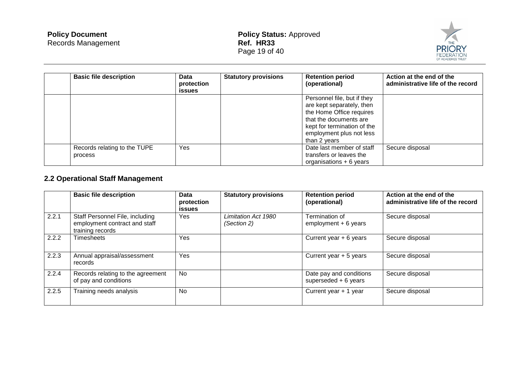

| <b>Basic file description</b>           | Data<br>protection<br>issues | <b>Statutory provisions</b> | <b>Retention period</b><br>(operational)                                                                                                                                                  | Action at the end of the<br>administrative life of the record |
|-----------------------------------------|------------------------------|-----------------------------|-------------------------------------------------------------------------------------------------------------------------------------------------------------------------------------------|---------------------------------------------------------------|
|                                         |                              |                             | Personnel file, but if they<br>are kept separately, then<br>the Home Office requires<br>that the documents are<br>kept for termination of the<br>employment plus not less<br>than 2 years |                                                               |
| Records relating to the TUPE<br>process | Yes                          |                             | Date last member of staff<br>transfers or leaves the<br>organisations $+6$ years                                                                                                          | Secure disposal                                               |

# **2.2 Operational Staff Management**

|       | <b>Basic file description</b>                                                        | Data<br>protection<br><b>issues</b> | <b>Statutory provisions</b>        | <b>Retention period</b><br>(operational)         | Action at the end of the<br>administrative life of the record |
|-------|--------------------------------------------------------------------------------------|-------------------------------------|------------------------------------|--------------------------------------------------|---------------------------------------------------------------|
| 2.2.1 | Staff Personnel File, including<br>employment contract and staff<br>training records | <b>Yes</b>                          | Limitation Act 1980<br>(Section 2) | Termination of<br>employment $+6$ years          | Secure disposal                                               |
| 2.2.2 | Timesheets                                                                           | Yes                                 |                                    | Current year $+ 6$ years                         | Secure disposal                                               |
| 2.2.3 | Annual appraisal/assessment<br>records                                               | Yes                                 |                                    | Current year + 5 years                           | Secure disposal                                               |
| 2.2.4 | Records relating to the agreement<br>of pay and conditions                           | No                                  |                                    | Date pay and conditions<br>superseded $+6$ years | Secure disposal                                               |
| 2.2.5 | Training needs analysis                                                              | <b>No</b>                           |                                    | Current year + 1 year                            | Secure disposal                                               |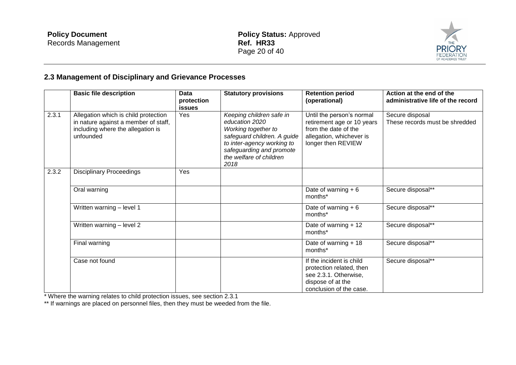

# **2.3 Management of Disciplinary and Grievance Processes**

|       | <b>Basic file description</b>                                                                                                  | Data<br>protection<br><b>issues</b> | <b>Statutory provisions</b>                                                                                                                                                                   | <b>Retention period</b><br>(operational)                                                                                          | Action at the end of the<br>administrative life of the record |
|-------|--------------------------------------------------------------------------------------------------------------------------------|-------------------------------------|-----------------------------------------------------------------------------------------------------------------------------------------------------------------------------------------------|-----------------------------------------------------------------------------------------------------------------------------------|---------------------------------------------------------------|
| 2.3.1 | Allegation which is child protection<br>in nature against a member of staff,<br>including where the allegation is<br>unfounded | Yes                                 | Keeping children safe in<br>education 2020<br>Working together to<br>safeguard children. A guide<br>to inter-agency working to<br>safeguarding and promote<br>the welfare of children<br>2018 | Until the person's normal<br>retirement age or 10 years<br>from the date of the<br>allegation, whichever is<br>longer then REVIEW | Secure disposal<br>These records must be shredded             |
| 2.3.2 | <b>Disciplinary Proceedings</b>                                                                                                | Yes                                 |                                                                                                                                                                                               |                                                                                                                                   |                                                               |
|       | Oral warning                                                                                                                   |                                     |                                                                                                                                                                                               | Date of warning $+6$<br>months*                                                                                                   | Secure disposal**                                             |
|       | Written warning - level 1                                                                                                      |                                     |                                                                                                                                                                                               | Date of warning $+6$<br>months*                                                                                                   | Secure disposal**                                             |
|       | Written warning - level 2                                                                                                      |                                     |                                                                                                                                                                                               | Date of warning $+12$<br>months*                                                                                                  | Secure disposal**                                             |
|       | Final warning                                                                                                                  |                                     |                                                                                                                                                                                               | Date of warning $+18$<br>months*                                                                                                  | Secure disposal**                                             |
|       | Case not found                                                                                                                 |                                     |                                                                                                                                                                                               | If the incident is child<br>protection related, then<br>see 2.3.1. Otherwise,<br>dispose of at the<br>conclusion of the case.     | Secure disposal**                                             |

\* Where the warning relates to child protection issues, see section 2.3.1

\*\* If warnings are placed on personnel files, then they must be weeded from the file.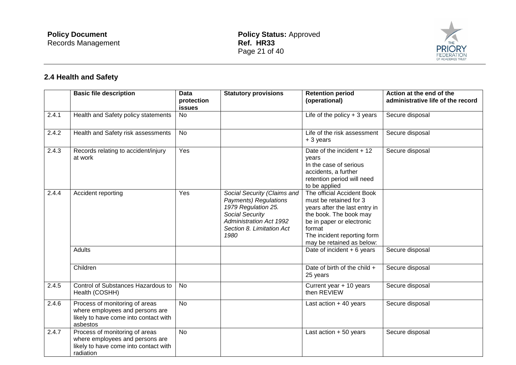

# **2.4 Health and Safety**

|                    | <b>Basic file description</b>                                                                                           | <b>Data</b><br>protection<br><b>issues</b> | <b>Statutory provisions</b>                                                                                                                                                  | <b>Retention period</b><br>(operational)                                                                                                                                                                           | Action at the end of the<br>administrative life of the record |
|--------------------|-------------------------------------------------------------------------------------------------------------------------|--------------------------------------------|------------------------------------------------------------------------------------------------------------------------------------------------------------------------------|--------------------------------------------------------------------------------------------------------------------------------------------------------------------------------------------------------------------|---------------------------------------------------------------|
| 2.4.1              | Health and Safety policy statements                                                                                     | No                                         |                                                                                                                                                                              | Life of the policy $+3$ years                                                                                                                                                                                      | Secure disposal                                               |
| 2.4.2              | Health and Safety risk assessments                                                                                      | No                                         |                                                                                                                                                                              | Life of the risk assessment<br>+ 3 years                                                                                                                                                                           | Secure disposal                                               |
| 2.4.3              | Records relating to accident/injury<br>at work                                                                          | Yes                                        |                                                                                                                                                                              | Date of the incident $+12$<br>years<br>In the case of serious<br>accidents, a further<br>retention period will need<br>to be applied                                                                               | Secure disposal                                               |
| 2.4.4              | Accident reporting                                                                                                      | Yes                                        | Social Security (Claims and<br><b>Payments) Regulations</b><br>1979 Regulation 25.<br>Social Security<br><b>Administration Act 1992</b><br>Section 8. Limitation Act<br>1980 | The official Accident Book<br>must be retained for 3<br>years after the last entry in<br>the book. The book may<br>be in paper or electronic<br>format<br>The incident reporting form<br>may be retained as below: |                                                               |
|                    | <b>Adults</b>                                                                                                           |                                            |                                                                                                                                                                              | Date of incident $+6$ years                                                                                                                                                                                        | Secure disposal                                               |
|                    | Children                                                                                                                |                                            |                                                                                                                                                                              | Date of birth of the child +<br>25 years                                                                                                                                                                           | Secure disposal                                               |
| $\overline{2.4.5}$ | Control of Substances Hazardous to<br>Health (COSHH)                                                                    | $\overline{N}$                             |                                                                                                                                                                              | Current year + 10 years<br>then REVIEW                                                                                                                                                                             | Secure disposal                                               |
| 2.4.6              | Process of monitoring of areas<br>where employees and persons are<br>likely to have come into contact with<br>asbestos  | <b>No</b>                                  |                                                                                                                                                                              | Last action $+40$ years                                                                                                                                                                                            | Secure disposal                                               |
| 2.4.7              | Process of monitoring of areas<br>where employees and persons are<br>likely to have come into contact with<br>radiation | <b>No</b>                                  |                                                                                                                                                                              | Last action $+50$ years                                                                                                                                                                                            | Secure disposal                                               |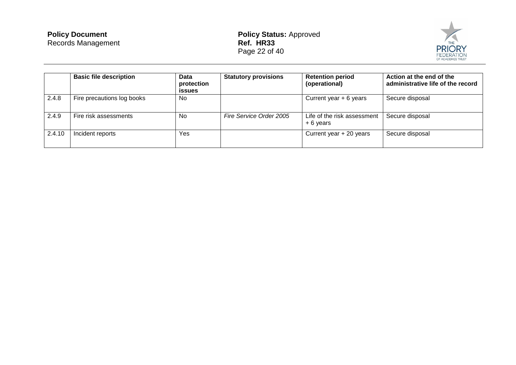| <b>Policy Document</b>    |
|---------------------------|
| <b>Records Management</b> |



|        | <b>Basic file description</b> | Data<br>protection<br><b>issues</b> | <b>Statutory provisions</b> | <b>Retention period</b><br>(operational) | Action at the end of the<br>administrative life of the record |
|--------|-------------------------------|-------------------------------------|-----------------------------|------------------------------------------|---------------------------------------------------------------|
| 2.4.8  | Fire precautions log books    | No.                                 |                             | Current year $+ 6$ years                 | Secure disposal                                               |
| 2.4.9  | Fire risk assessments         | No.                                 | Fire Service Order 2005     | Life of the risk assessment<br>+ 6 years | Secure disposal                                               |
| 2.4.10 | Incident reports              | Yes                                 |                             | Current year + 20 years                  | Secure disposal                                               |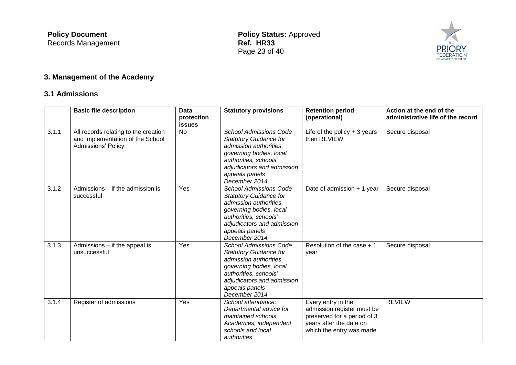

# **3. Management of the Academy**

### **3.1 Admissions**

|       | <b>Basic file description</b>                                                                         | <b>Data</b><br>protection<br><b>issues</b> | <b>Statutory provisions</b>                                                                                                                                                                                   | <b>Retention period</b><br>(operational)                                                                                               | Action at the end of the<br>administrative life of the record |
|-------|-------------------------------------------------------------------------------------------------------|--------------------------------------------|---------------------------------------------------------------------------------------------------------------------------------------------------------------------------------------------------------------|----------------------------------------------------------------------------------------------------------------------------------------|---------------------------------------------------------------|
| 3.1.1 | All records relating to the creation<br>and implementation of the School<br><b>Admissions' Policy</b> | <b>No</b>                                  | <b>School Admissions Code</b><br><b>Statutory Guidance for</b><br>admission authorities.<br>governing bodies, local<br>authorities, schools'<br>adjudicators and admission<br>appeals panels<br>December 2014 | Life of the policy $+3$ years<br>then REVIEW                                                                                           | Secure disposal                                               |
| 3.1.2 | Admissions – if the admission is<br>successful                                                        | Yes                                        | <b>School Admissions Code</b><br><b>Statutory Guidance for</b><br>admission authorities.<br>governing bodies, local<br>authorities, schools'<br>adjudicators and admission<br>appeals panels<br>December 2014 | Date of admission + 1 year                                                                                                             | Secure disposal                                               |
| 3.1.3 | Admissions - if the appeal is<br>unsuccessful                                                         | Yes                                        | <b>School Admissions Code</b><br><b>Statutory Guidance for</b><br>admission authorities,<br>governing bodies, local<br>authorities, schools'<br>adjudicators and admission<br>appeals panels<br>December 2014 | Resolution of the case + 1<br>year                                                                                                     | Secure disposal                                               |
| 3.1.4 | Register of admissions                                                                                | Yes                                        | School attendance:<br>Departmental advice for<br>maintained schools,<br>Academies, independent<br>schools and local<br>authorities                                                                            | Every entry in the<br>admission register must be<br>preserved for a period of 3<br>years after the date on<br>which the entry was made | <b>REVIEW</b>                                                 |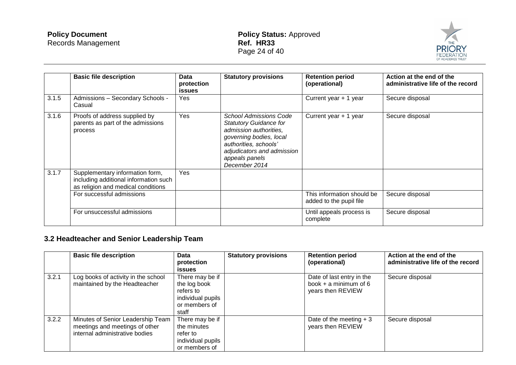#### **Policy Document** Records Management

#### **Policy Status:** Approved **Ref. HR33** Page 24 of 40



|       | <b>Basic file description</b>                                                                                  | Data<br>protection<br>issues | <b>Statutory provisions</b>                                                                                                                                                                            | <b>Retention period</b><br>(operational)              | Action at the end of the<br>administrative life of the record |
|-------|----------------------------------------------------------------------------------------------------------------|------------------------------|--------------------------------------------------------------------------------------------------------------------------------------------------------------------------------------------------------|-------------------------------------------------------|---------------------------------------------------------------|
| 3.1.5 | Admissions - Secondary Schools -<br>Casual                                                                     | Yes                          |                                                                                                                                                                                                        | Current year + 1 year                                 | Secure disposal                                               |
| 3.1.6 | Proofs of address supplied by<br>parents as part of the admissions<br>process                                  | Yes                          | School Admissions Code<br><b>Statutory Guidance for</b><br>admission authorities,<br>governing bodies, local<br>authorities, schools'<br>adjudicators and admission<br>appeals panels<br>December 2014 | Current year + 1 year                                 | Secure disposal                                               |
| 3.1.7 | Supplementary information form,<br>including additional information such<br>as religion and medical conditions | Yes                          |                                                                                                                                                                                                        |                                                       |                                                               |
|       | For successful admissions                                                                                      |                              |                                                                                                                                                                                                        | This information should be<br>added to the pupil file | Secure disposal                                               |
|       | For unsuccessful admissions                                                                                    |                              |                                                                                                                                                                                                        | Until appeals process is<br>complete                  | Secure disposal                                               |

# **3.2 Headteacher and Senior Leadership Team**

|       | <b>Basic file description</b>                                                                         | <b>Data</b><br>protection<br><b>issues</b>                                                  | <b>Statutory provisions</b> | <b>Retention period</b><br>(operational)                                  | Action at the end of the<br>administrative life of the record |
|-------|-------------------------------------------------------------------------------------------------------|---------------------------------------------------------------------------------------------|-----------------------------|---------------------------------------------------------------------------|---------------------------------------------------------------|
| 3.2.1 | Log books of activity in the school<br>maintained by the Headteacher                                  | There may be if<br>the log book<br>refers to<br>individual pupils<br>or members of<br>staff |                             | Date of last entry in the<br>book $+$ a minimum of 6<br>years then REVIEW | Secure disposal                                               |
| 3.2.2 | Minutes of Senior Leadership Team<br>meetings and meetings of other<br>internal administrative bodies | There may be if<br>the minutes<br>refer to<br>individual pupils<br>or members of            |                             | Date of the meeting $+3$<br>years then REVIEW                             | Secure disposal                                               |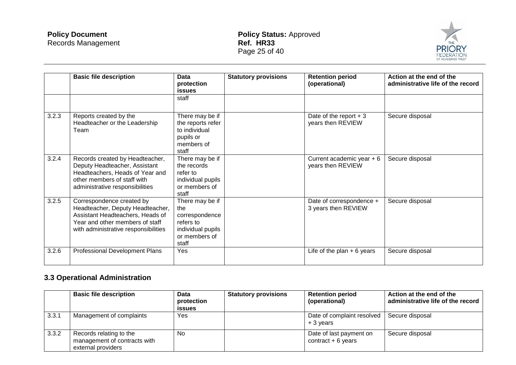

|       | <b>Basic file description</b>                                                                                                                                                | Data<br>protection<br><b>issues</b>                                                                  | <b>Statutory provisions</b> | <b>Retention period</b><br>(operational)        | Action at the end of the<br>administrative life of the record |
|-------|------------------------------------------------------------------------------------------------------------------------------------------------------------------------------|------------------------------------------------------------------------------------------------------|-----------------------------|-------------------------------------------------|---------------------------------------------------------------|
|       |                                                                                                                                                                              | staff                                                                                                |                             |                                                 |                                                               |
| 3.2.3 | Reports created by the<br>Headteacher or the Leadership<br>Team                                                                                                              | There may be if<br>the reports refer<br>to individual<br>pupils or<br>members of<br>staff            |                             | Date of the report $+3$<br>years then REVIEW    | Secure disposal                                               |
| 3.2.4 | Records created by Headteacher,<br>Deputy Headteacher, Assistant<br>Headteachers, Heads of Year and<br>other members of staff with<br>administrative responsibilities        | There may be if<br>the records<br>refer to<br>individual pupils<br>or members of<br>staff            |                             | Current academic year $+6$<br>years then REVIEW | Secure disposal                                               |
| 3.2.5 | Correspondence created by<br>Headteacher, Deputy Headteacher,<br>Assistant Headteachers, Heads of<br>Year and other members of staff<br>with administrative responsibilities | There may be if<br>the<br>correspondence<br>refers to<br>individual pupils<br>or members of<br>staff |                             | Date of correspondence +<br>3 years then REVIEW | Secure disposal                                               |
| 3.2.6 | Professional Development Plans                                                                                                                                               | Yes                                                                                                  |                             | Life of the plan $+6$ years                     | Secure disposal                                               |

# **3.3 Operational Administration**

|       | <b>Basic file description</b>                                                 | Data<br>protection<br><b>issues</b> | <b>Statutory provisions</b> | <b>Retention period</b><br>(operational)       | Action at the end of the<br>administrative life of the record |
|-------|-------------------------------------------------------------------------------|-------------------------------------|-----------------------------|------------------------------------------------|---------------------------------------------------------------|
| 3.3.1 | Management of complaints                                                      | Yes                                 |                             | Date of complaint resolved<br>$+3$ years       | Secure disposal                                               |
| 3.3.2 | Records relating to the<br>management of contracts with<br>external providers | N <sub>0</sub>                      |                             | Date of last payment on<br>contract $+6$ years | Secure disposal                                               |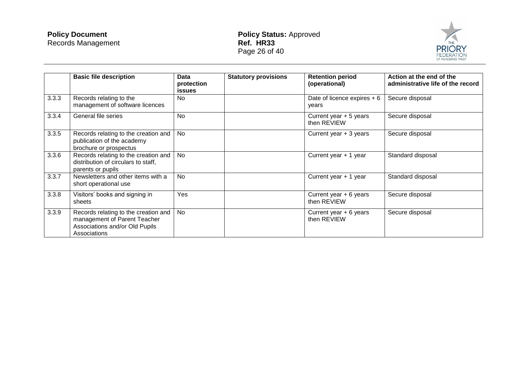#### **Policy Document** Records Management

**Policy Status:** Approved **Ref. HR33** Page 26 of 40



|       | <b>Basic file description</b>                                                                                          | Data<br>protection<br>issues | <b>Statutory provisions</b> | <b>Retention period</b><br>(operational) | Action at the end of the<br>administrative life of the record |
|-------|------------------------------------------------------------------------------------------------------------------------|------------------------------|-----------------------------|------------------------------------------|---------------------------------------------------------------|
| 3.3.3 | Records relating to the<br>management of software licences                                                             | N <sub>o</sub>               |                             | Date of licence expires $+6$<br>years    | Secure disposal                                               |
| 3.3.4 | General file series                                                                                                    | <b>No</b>                    |                             | Current year + 5 years<br>then REVIEW    | Secure disposal                                               |
| 3.3.5 | Records relating to the creation and<br>publication of the academy<br>brochure or prospectus                           | <b>No</b>                    |                             | Current year $+3$ years                  | Secure disposal                                               |
| 3.3.6 | Records relating to the creation and<br>distribution of circulars to staff,<br>parents or pupils                       | No                           |                             | Current year + 1 year                    | Standard disposal                                             |
| 3.3.7 | Newsletters and other items with a<br>short operational use                                                            | <b>No</b>                    |                             | Current year + 1 year                    | Standard disposal                                             |
| 3.3.8 | Visitors' books and signing in<br>sheets                                                                               | Yes                          |                             | Current year + 6 years<br>then REVIEW    | Secure disposal                                               |
| 3.3.9 | Records relating to the creation and<br>management of Parent Teacher<br>Associations and/or Old Pupils<br>Associations | No                           |                             | Current year + 6 years<br>then REVIEW    | Secure disposal                                               |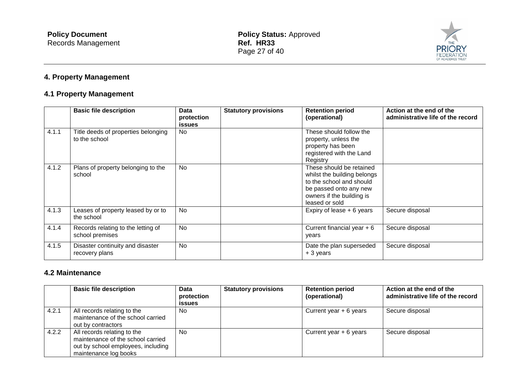

# **4. Property Management**

# **4.1 Property Management**

|       | <b>Basic file description</b>                         | Data<br>protection<br><b>issues</b> | <b>Statutory provisions</b> | <b>Retention period</b><br>(operational)                                                                                                                     | Action at the end of the<br>administrative life of the record |
|-------|-------------------------------------------------------|-------------------------------------|-----------------------------|--------------------------------------------------------------------------------------------------------------------------------------------------------------|---------------------------------------------------------------|
| 4.1.1 | Title deeds of properties belonging<br>to the school  | <b>No</b>                           |                             | These should follow the<br>property, unless the<br>property has been<br>registered with the Land<br>Registry                                                 |                                                               |
| 4.1.2 | Plans of property belonging to the<br>school          | <b>No</b>                           |                             | These should be retained<br>whilst the building belongs<br>to the school and should<br>be passed onto any new<br>owners if the building is<br>leased or sold |                                                               |
| 4.1.3 | Leases of property leased by or to<br>the school      | <b>No</b>                           |                             | Expiry of lease $+6$ years                                                                                                                                   | Secure disposal                                               |
| 4.1.4 | Records relating to the letting of<br>school premises | <b>No</b>                           |                             | Current financial year $+6$<br>years                                                                                                                         | Secure disposal                                               |
| 4.1.5 | Disaster continuity and disaster<br>recovery plans    | <b>No</b>                           |                             | Date the plan superseded<br>+ 3 years                                                                                                                        | Secure disposal                                               |

#### **4.2 Maintenance**

|       | <b>Basic file description</b>                                                                                                   | Data<br>protection<br><b>issues</b> | <b>Statutory provisions</b> | <b>Retention period</b><br>(operational) | Action at the end of the<br>administrative life of the record |
|-------|---------------------------------------------------------------------------------------------------------------------------------|-------------------------------------|-----------------------------|------------------------------------------|---------------------------------------------------------------|
| 4.2.1 | All records relating to the<br>maintenance of the school carried<br>out by contractors                                          | No.                                 |                             | Current year $+ 6$ years                 | Secure disposal                                               |
| 4.2.2 | All records relating to the<br>maintenance of the school carried<br>out by school employees, including<br>maintenance log books | <b>No</b>                           |                             | Current year $+ 6$ years                 | Secure disposal                                               |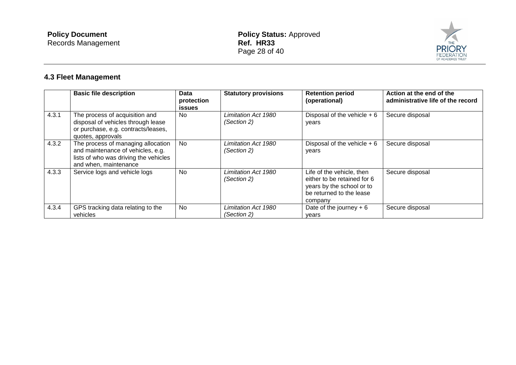

# **4.3 Fleet Management**

|       | <b>Basic file description</b>                                                                                                             | Data<br>protection<br><b>issues</b> | <b>Statutory provisions</b>        | <b>Retention period</b><br>(operational)                                                                                     | Action at the end of the<br>administrative life of the record |
|-------|-------------------------------------------------------------------------------------------------------------------------------------------|-------------------------------------|------------------------------------|------------------------------------------------------------------------------------------------------------------------------|---------------------------------------------------------------|
| 4.3.1 | The process of acquisition and<br>disposal of vehicles through lease<br>or purchase, e.g. contracts/leases,<br>quotes, approvals          | No.                                 | Limitation Act 1980<br>(Section 2) | Disposal of the vehicle $+6$<br>years                                                                                        | Secure disposal                                               |
| 4.3.2 | The process of managing allocation<br>and maintenance of vehicles, e.g.<br>lists of who was driving the vehicles<br>and when, maintenance | No                                  | Limitation Act 1980<br>(Section 2) | Disposal of the vehicle $+6$<br>years                                                                                        | Secure disposal                                               |
| 4.3.3 | Service logs and vehicle logs                                                                                                             | No                                  | Limitation Act 1980<br>(Section 2) | Life of the vehicle, then<br>either to be retained for 6<br>years by the school or to<br>be returned to the lease<br>company | Secure disposal                                               |
| 4.3.4 | GPS tracking data relating to the<br>vehicles                                                                                             | No.                                 | Limitation Act 1980<br>(Section 2) | Date of the journey $+6$<br>vears                                                                                            | Secure disposal                                               |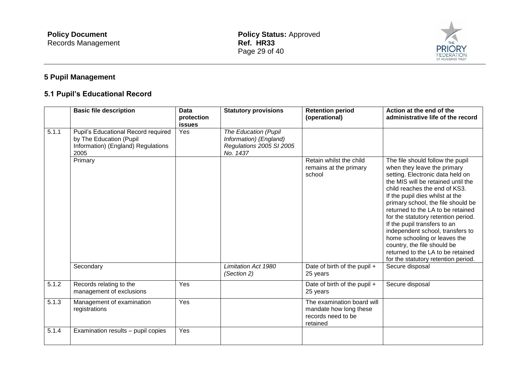

# **5 Pupil Management**

# **5.1 Pupil's Educational Record**

|       | <b>Basic file description</b>                                                                                | <b>Data</b><br>protection<br><b>issues</b> | <b>Statutory provisions</b>                                                            | <b>Retention period</b><br>(operational)                                               | Action at the end of the<br>administrative life of the record                                                                                                                                                                                                                                                                                                                                                                                                                                                                                  |
|-------|--------------------------------------------------------------------------------------------------------------|--------------------------------------------|----------------------------------------------------------------------------------------|----------------------------------------------------------------------------------------|------------------------------------------------------------------------------------------------------------------------------------------------------------------------------------------------------------------------------------------------------------------------------------------------------------------------------------------------------------------------------------------------------------------------------------------------------------------------------------------------------------------------------------------------|
| 5.1.1 | Pupil's Educational Record required<br>by The Education (Pupil<br>Information) (England) Regulations<br>2005 | Yes                                        | The Education (Pupil<br>Information) (England)<br>Regulations 2005 SI 2005<br>No. 1437 |                                                                                        |                                                                                                                                                                                                                                                                                                                                                                                                                                                                                                                                                |
|       | Primary                                                                                                      |                                            |                                                                                        | Retain whilst the child<br>remains at the primary<br>school                            | The file should follow the pupil<br>when they leave the primary<br>setting. Electronic data held on<br>the MIS will be retained until the<br>child reaches the end of KS3.<br>If the pupil dies whilst at the<br>primary school, the file should be<br>returned to the LA to be retained<br>for the statutory retention period.<br>If the pupil transfers to an<br>independent school, transfers to<br>home schooling or leaves the<br>country, the file should be<br>returned to the LA to be retained<br>for the statutory retention period. |
|       | Secondary                                                                                                    |                                            | Limitation Act 1980<br>(Section 2)                                                     | Date of birth of the pupil +<br>25 years                                               | Secure disposal                                                                                                                                                                                                                                                                                                                                                                                                                                                                                                                                |
| 5.1.2 | Records relating to the<br>management of exclusions                                                          | Yes                                        |                                                                                        | Date of birth of the pupil +<br>25 years                                               | Secure disposal                                                                                                                                                                                                                                                                                                                                                                                                                                                                                                                                |
| 5.1.3 | Management of examination<br>registrations                                                                   | Yes                                        |                                                                                        | The examination board will<br>mandate how long these<br>records need to be<br>retained |                                                                                                                                                                                                                                                                                                                                                                                                                                                                                                                                                |
| 5.1.4 | Examination results - pupil copies                                                                           | Yes                                        |                                                                                        |                                                                                        |                                                                                                                                                                                                                                                                                                                                                                                                                                                                                                                                                |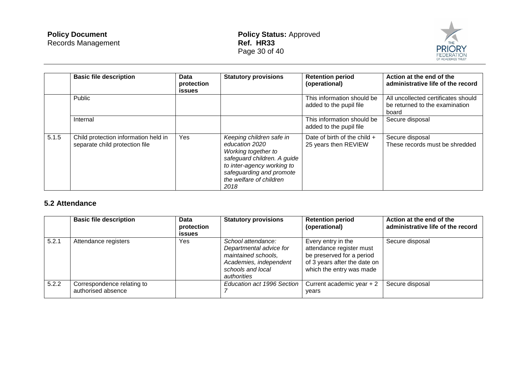

|       | <b>Basic file description</b>                                          | <b>Data</b><br>protection<br><b>issues</b> | <b>Statutory provisions</b>                                                                                                                                                                   | <b>Retention period</b><br>(operational)               | Action at the end of the<br>administrative life of the record                  |
|-------|------------------------------------------------------------------------|--------------------------------------------|-----------------------------------------------------------------------------------------------------------------------------------------------------------------------------------------------|--------------------------------------------------------|--------------------------------------------------------------------------------|
|       | Public                                                                 |                                            |                                                                                                                                                                                               | This information should be<br>added to the pupil file  | All uncollected certificates should<br>be returned to the examination<br>board |
|       | Internal                                                               |                                            |                                                                                                                                                                                               | This information should be<br>added to the pupil file  | Secure disposal                                                                |
| 5.1.5 | Child protection information held in<br>separate child protection file | Yes                                        | Keeping children safe in<br>education 2020<br>Working together to<br>safeguard children. A guide<br>to inter-agency working to<br>safeguarding and promote<br>the welfare of children<br>2018 | Date of birth of the child $+$<br>25 years then REVIEW | Secure disposal<br>These records must be shredded                              |

### **5.2 Attendance**

|       | <b>Basic file description</b>                    | Data<br>protection<br><b>issues</b> | <b>Statutory provisions</b>                                                                                                        | <b>Retention period</b><br>(operational)                                                                                                | Action at the end of the<br>administrative life of the record |
|-------|--------------------------------------------------|-------------------------------------|------------------------------------------------------------------------------------------------------------------------------------|-----------------------------------------------------------------------------------------------------------------------------------------|---------------------------------------------------------------|
| 5.2.1 | Attendance registers                             | Yes                                 | School attendance:<br>Departmental advice for<br>maintained schools,<br>Academies, independent<br>schools and local<br>authorities | Every entry in the<br>attendance register must<br>be preserved for a period<br>of 3 years after the date on<br>which the entry was made | Secure disposal                                               |
| 5.2.2 | Correspondence relating to<br>authorised absence |                                     | Education act 1996 Section                                                                                                         | Current academic year + 2<br>vears                                                                                                      | Secure disposal                                               |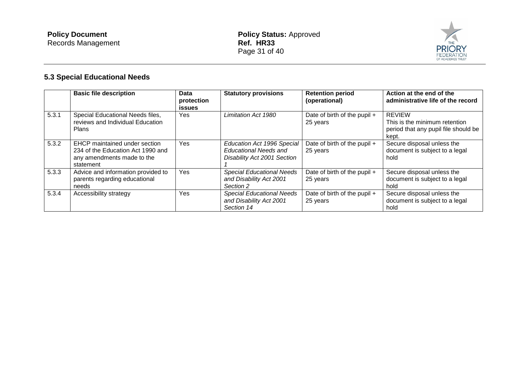

# **5.3 Special Educational Needs**

|       | <b>Basic file description</b>                                                                                 | Data<br>protection<br><b>issues</b> | <b>Statutory provisions</b>                                                               | <b>Retention period</b><br>(operational) | Action at the end of the<br>administrative life of the record                                   |
|-------|---------------------------------------------------------------------------------------------------------------|-------------------------------------|-------------------------------------------------------------------------------------------|------------------------------------------|-------------------------------------------------------------------------------------------------|
| 5.3.1 | Special Educational Needs files,<br>reviews and Individual Education<br><b>Plans</b>                          | Yes.                                | Limitation Act 1980                                                                       | Date of birth of the pupil +<br>25 years | <b>REVIEW</b><br>This is the minimum retention<br>period that any pupil file should be<br>kept. |
| 5.3.2 | EHCP maintained under section<br>234 of the Education Act 1990 and<br>any amendments made to the<br>statement | Yes                                 | Education Act 1996 Special<br><b>Educational Needs and</b><br>Disability Act 2001 Section | Date of birth of the pupil +<br>25 years | Secure disposal unless the<br>document is subject to a legal<br>hold                            |
| 5.3.3 | Advice and information provided to<br>parents regarding educational<br>needs                                  | Yes                                 | <b>Special Educational Needs</b><br>and Disability Act 2001<br>Section 2                  | Date of birth of the pupil +<br>25 years | Secure disposal unless the<br>document is subject to a legal<br>hold                            |
| 5.3.4 | Accessibility strategy                                                                                        | Yes                                 | <b>Special Educational Needs</b><br>and Disability Act 2001<br>Section 14                 | Date of birth of the pupil +<br>25 years | Secure disposal unless the<br>document is subject to a legal<br>hold                            |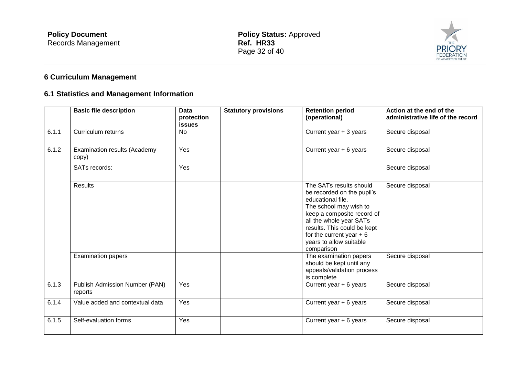

# **6 Curriculum Management**

### **6.1 Statistics and Management Information**

|       | <b>Basic file description</b>             | <b>Data</b><br>protection<br><b>issues</b> | <b>Statutory provisions</b> | <b>Retention period</b><br>(operational)                                                                                                                                                                                                                           | Action at the end of the<br>administrative life of the record |
|-------|-------------------------------------------|--------------------------------------------|-----------------------------|--------------------------------------------------------------------------------------------------------------------------------------------------------------------------------------------------------------------------------------------------------------------|---------------------------------------------------------------|
| 6.1.1 | Curriculum returns                        | <b>No</b>                                  |                             | Current year + 3 years                                                                                                                                                                                                                                             | Secure disposal                                               |
| 6.1.2 | Examination results (Academy<br>copy)     | Yes                                        |                             | Current year $+ 6$ years                                                                                                                                                                                                                                           | Secure disposal                                               |
|       | SATs records:                             | Yes                                        |                             |                                                                                                                                                                                                                                                                    | Secure disposal                                               |
|       | <b>Results</b>                            |                                            |                             | The SATs results should<br>be recorded on the pupil's<br>educational file.<br>The school may wish to<br>keep a composite record of<br>all the whole year SATs<br>results. This could be kept<br>for the current year $+6$<br>years to allow suitable<br>comparison | Secure disposal                                               |
|       | <b>Examination papers</b>                 |                                            |                             | The examination papers<br>should be kept until any<br>appeals/validation process<br>is complete                                                                                                                                                                    | Secure disposal                                               |
| 6.1.3 | Publish Admission Number (PAN)<br>reports | Yes                                        |                             | Current year $+ 6$ years                                                                                                                                                                                                                                           | Secure disposal                                               |
| 6.1.4 | Value added and contextual data           | Yes                                        |                             | Current year $+ 6$ years                                                                                                                                                                                                                                           | Secure disposal                                               |
| 6.1.5 | Self-evaluation forms                     | Yes                                        |                             | Current year $+ 6$ years                                                                                                                                                                                                                                           | Secure disposal                                               |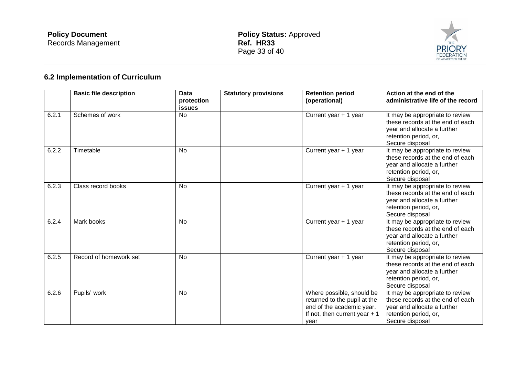

# **6.2 Implementation of Curriculum**

|       | <b>Basic file description</b> | <b>Data</b><br>protection<br><b>issues</b> | <b>Statutory provisions</b> | <b>Retention period</b><br>(operational)                                                                                         | Action at the end of the<br>administrative life of the record                                                                                  |
|-------|-------------------------------|--------------------------------------------|-----------------------------|----------------------------------------------------------------------------------------------------------------------------------|------------------------------------------------------------------------------------------------------------------------------------------------|
| 6.2.1 | Schemes of work               | No                                         |                             | Current year + 1 year                                                                                                            | It may be appropriate to review<br>these records at the end of each<br>year and allocate a further<br>retention period, or,<br>Secure disposal |
| 6.2.2 | Timetable                     | <b>No</b>                                  |                             | Current year + 1 year                                                                                                            | It may be appropriate to review<br>these records at the end of each<br>year and allocate a further<br>retention period, or,<br>Secure disposal |
| 6.2.3 | Class record books            | <b>No</b>                                  |                             | Current year + 1 year                                                                                                            | It may be appropriate to review<br>these records at the end of each<br>year and allocate a further<br>retention period, or,<br>Secure disposal |
| 6.2.4 | Mark books                    | <b>No</b>                                  |                             | Current year + 1 year                                                                                                            | It may be appropriate to review<br>these records at the end of each<br>year and allocate a further<br>retention period, or,<br>Secure disposal |
| 6.2.5 | Record of homework set        | <b>No</b>                                  |                             | Current year + 1 year                                                                                                            | It may be appropriate to review<br>these records at the end of each<br>year and allocate a further<br>retention period, or,<br>Secure disposal |
| 6.2.6 | Pupils' work                  | <b>No</b>                                  |                             | Where possible, should be<br>returned to the pupil at the<br>end of the academic year.<br>If not, then current year $+1$<br>year | It may be appropriate to review<br>these records at the end of each<br>year and allocate a further<br>retention period, or,<br>Secure disposal |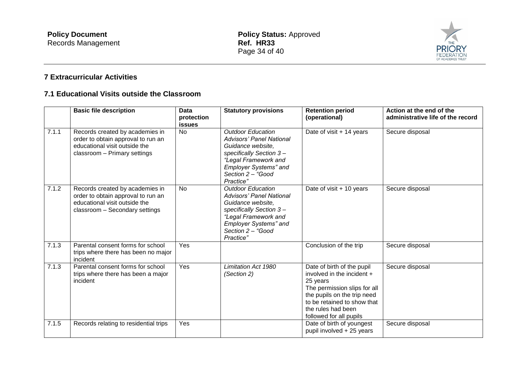

### **7 Extracurricular Activities**

### **7.1 Educational Visits outside the Classroom**

|                    | <b>Basic file description</b>                                                                                                            | Data<br>protection<br><b>issues</b> | <b>Statutory provisions</b>                                                                                                                                                                           | <b>Retention period</b><br>(operational)                                                                                                                                                                              | Action at the end of the<br>administrative life of the record |
|--------------------|------------------------------------------------------------------------------------------------------------------------------------------|-------------------------------------|-------------------------------------------------------------------------------------------------------------------------------------------------------------------------------------------------------|-----------------------------------------------------------------------------------------------------------------------------------------------------------------------------------------------------------------------|---------------------------------------------------------------|
| 7.1.1              | Records created by academies in<br>order to obtain approval to run an<br>educational visit outside the<br>classroom - Primary settings   | <b>No</b>                           | <b>Outdoor Education</b><br><b>Advisors' Panel National</b><br>Guidance website,<br>specifically Section 3-<br>"Legal Framework and<br>Employer Systems" and<br>Section 2 - "Good<br>Practice"        | Date of visit + 14 years                                                                                                                                                                                              | Secure disposal                                               |
| 7.1.2              | Records created by academies in<br>order to obtain approval to run an<br>educational visit outside the<br>classroom - Secondary settings | <b>No</b>                           | <b>Outdoor Education</b><br><b>Advisors' Panel National</b><br>Guidance website,<br>specifically Section 3-<br>"Legal Framework and<br><b>Employer Systems" and</b><br>Section 2 - "Good<br>Practice" | Date of visit + 10 years                                                                                                                                                                                              | Secure disposal                                               |
| 7.1.3              | Parental consent forms for school<br>trips where there has been no major<br>incident                                                     | Yes                                 |                                                                                                                                                                                                       | Conclusion of the trip                                                                                                                                                                                                | Secure disposal                                               |
| $\overline{7}.1.3$ | Parental consent forms for school<br>trips where there has been a major<br>incident                                                      | Yes                                 | <b>Limitation Act 1980</b><br>(Section 2)                                                                                                                                                             | Date of birth of the pupil<br>involved in the incident $+$<br>25 years<br>The permission slips for all<br>the pupils on the trip need<br>to be retained to show that<br>the rules had been<br>followed for all pupils | Secure disposal                                               |
| 7.1.5              | Records relating to residential trips                                                                                                    | Yes                                 |                                                                                                                                                                                                       | Date of birth of youngest<br>pupil involved + 25 years                                                                                                                                                                | Secure disposal                                               |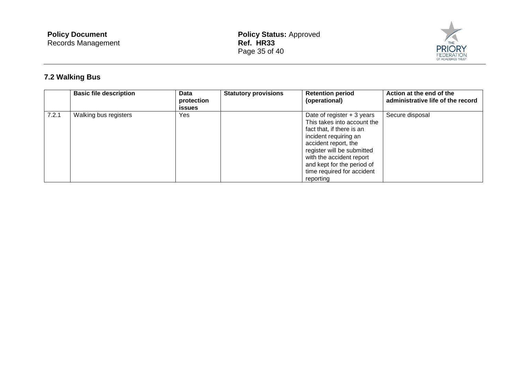

# **7.2 Walking Bus**

|       | <b>Basic file description</b> | <b>Data</b><br>protection<br><b>issues</b> | <b>Statutory provisions</b> | <b>Retention period</b><br>(operational)                                                                                                                                                                                                                                    | Action at the end of the<br>administrative life of the record |
|-------|-------------------------------|--------------------------------------------|-----------------------------|-----------------------------------------------------------------------------------------------------------------------------------------------------------------------------------------------------------------------------------------------------------------------------|---------------------------------------------------------------|
| 7.2.1 | Walking bus registers         | <b>Yes</b>                                 |                             | Date of register $+3$ years<br>This takes into account the<br>fact that, if there is an<br>incident requiring an<br>accident report, the<br>register will be submitted<br>with the accident report<br>and kept for the period of<br>time required for accident<br>reporting | Secure disposal                                               |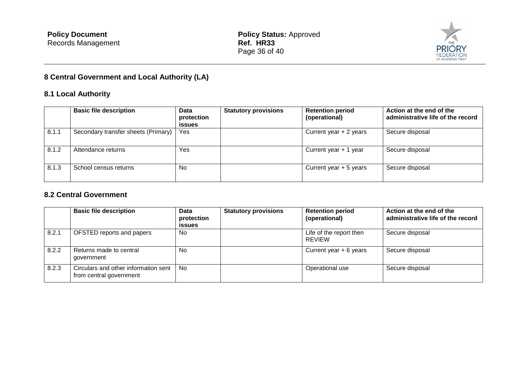

# **8 Central Government and Local Authority (LA)**

### **8.1 Local Authority**

|       | <b>Basic file description</b>       | <b>Data</b><br>protection<br><b>issues</b> | <b>Statutory provisions</b> | <b>Retention period</b><br>(operational) | Action at the end of the<br>administrative life of the record |
|-------|-------------------------------------|--------------------------------------------|-----------------------------|------------------------------------------|---------------------------------------------------------------|
| 8.1.1 | Secondary transfer sheets (Primary) | Yes                                        |                             | Current year $+2$ years                  | Secure disposal                                               |
| 8.1.2 | Attendance returns                  | Yes                                        |                             | Current year $+1$ year                   | Secure disposal                                               |
| 8.1.3 | School census returns               | No                                         |                             | Current year $+5$ years                  | Secure disposal                                               |

#### **8.2 Central Government**

|       | <b>Basic file description</b>                                   | Data<br>protection<br><b>issues</b> | <b>Statutory provisions</b> | <b>Retention period</b><br>(operational) | Action at the end of the<br>administrative life of the record |
|-------|-----------------------------------------------------------------|-------------------------------------|-----------------------------|------------------------------------------|---------------------------------------------------------------|
| 8.2.1 | OFSTED reports and papers                                       | <b>No</b>                           |                             | Life of the report then<br><b>REVIEW</b> | Secure disposal                                               |
| 8.2.2 | Returns made to central<br>government                           | No.                                 |                             | Current year $+ 6$ years                 | Secure disposal                                               |
| 8.2.3 | Circulars and other information sent<br>from central government | <b>No</b>                           |                             | Operational use                          | Secure disposal                                               |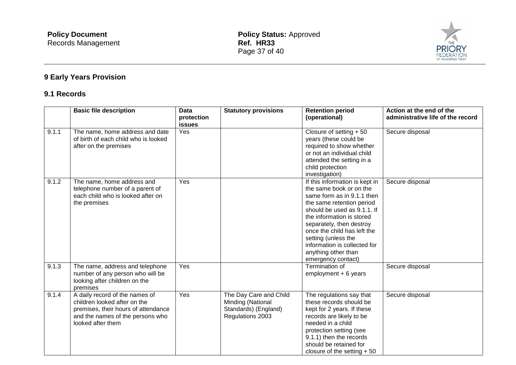

# **9 Early Years Provision**

### **9.1 Records**

|       | <b>Basic file description</b>                                                                                                                                  | <b>Data</b><br>protection<br>issues | <b>Statutory provisions</b>                                                             | <b>Retention period</b><br>(operational)                                                                                                                                                                                                                                                                                                        | Action at the end of the<br>administrative life of the record |
|-------|----------------------------------------------------------------------------------------------------------------------------------------------------------------|-------------------------------------|-----------------------------------------------------------------------------------------|-------------------------------------------------------------------------------------------------------------------------------------------------------------------------------------------------------------------------------------------------------------------------------------------------------------------------------------------------|---------------------------------------------------------------|
| 9.1.1 | The name, home address and date<br>of birth of each child who is looked<br>after on the premises                                                               | Yes                                 |                                                                                         | Closure of setting $+50$<br>years (these could be<br>required to show whether<br>or not an individual child<br>attended the setting in a<br>child protection<br>investigation)                                                                                                                                                                  | Secure disposal                                               |
| 9.1.2 | The name, home address and<br>telephone number of a parent of<br>each child who is looked after on<br>the premises                                             | Yes                                 |                                                                                         | If this information is kept in<br>the same book or on the<br>same form as in 9.1.1 then<br>the same retention period<br>should be used as 9.1.1. If<br>the information is stored<br>separately, then destroy<br>once the child has left the<br>setting (unless the<br>information is collected for<br>anything other than<br>emergency contact) | Secure disposal                                               |
| 9.1.3 | The name, address and telephone<br>number of any person who will be<br>looking after children on the<br>premises                                               | Yes                                 |                                                                                         | Termination of<br>employment $+6$ years                                                                                                                                                                                                                                                                                                         | Secure disposal                                               |
| 9.1.4 | A daily record of the names of<br>children looked after on the<br>premises, their hours of attendance<br>and the names of the persons who<br>looked after them | Yes                                 | The Day Care and Child<br>Minding (National<br>Standards) (England)<br>Regulations 2003 | The regulations say that<br>these records should be<br>kept for 2 years. If these<br>records are likely to be<br>needed in a child<br>protection setting (see<br>9.1.1) then the records<br>should be retained for<br>closure of the setting $+50$                                                                                              | Secure disposal                                               |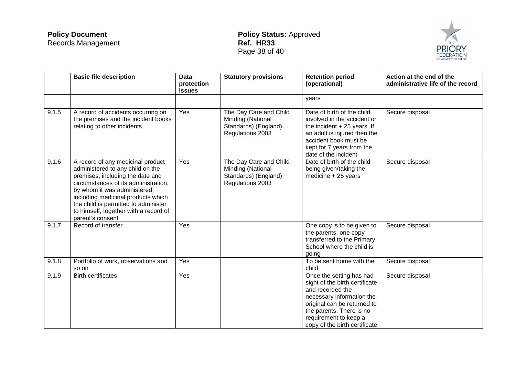

|       | <b>Basic file description</b>                                                                                                                                                                                                                                                                                                | <b>Data</b><br>protection<br><b>issues</b> | <b>Statutory provisions</b>                                                             | <b>Retention period</b><br>(operational)                                                                                                                                                                                         | Action at the end of the<br>administrative life of the record |
|-------|------------------------------------------------------------------------------------------------------------------------------------------------------------------------------------------------------------------------------------------------------------------------------------------------------------------------------|--------------------------------------------|-----------------------------------------------------------------------------------------|----------------------------------------------------------------------------------------------------------------------------------------------------------------------------------------------------------------------------------|---------------------------------------------------------------|
|       |                                                                                                                                                                                                                                                                                                                              |                                            |                                                                                         | vears                                                                                                                                                                                                                            |                                                               |
| 9.1.5 | A record of accidents occurring on<br>the premises and the incident books<br>relating to other incidents                                                                                                                                                                                                                     | Yes                                        | The Day Care and Child<br>Minding (National<br>Standards) (England)<br>Regulations 2003 | Date of birth of the child<br>involved in the accident or<br>the incident $+25$ years. If<br>an adult is injured then the<br>accident book must be<br>kept for 7 years from the<br>date of the incident                          | Secure disposal                                               |
| 9.1.6 | A record of any medicinal product<br>administered to any child on the<br>premises, including the date and<br>circumstances of its administration,<br>by whom it was administered,<br>including medicinal products which<br>the child is permitted to administer<br>to himself, together with a record of<br>parent's consent | Yes                                        | The Day Care and Child<br>Minding (National<br>Standards) (England)<br>Regulations 2003 | Date of birth of the child<br>being given/taking the<br>medicine + 25 years                                                                                                                                                      | Secure disposal                                               |
| 9.1.7 | Record of transfer                                                                                                                                                                                                                                                                                                           | Yes                                        |                                                                                         | One copy is to be given to<br>the parents, one copy<br>transferred to the Primary<br>School where the child is<br>going                                                                                                          | Secure disposal                                               |
| 9.1.8 | Portfolio of work, observations and<br>so on                                                                                                                                                                                                                                                                                 | Yes                                        |                                                                                         | To be sent home with the<br>child                                                                                                                                                                                                | Secure disposal                                               |
| 9.1.9 | <b>Birth certificates</b>                                                                                                                                                                                                                                                                                                    | Yes                                        |                                                                                         | Once the setting has had<br>sight of the birth certificate<br>and recorded the<br>necessary information the<br>original can be returned to<br>the parents. There is no<br>requirement to keep a<br>copy of the birth certificate | Secure disposal                                               |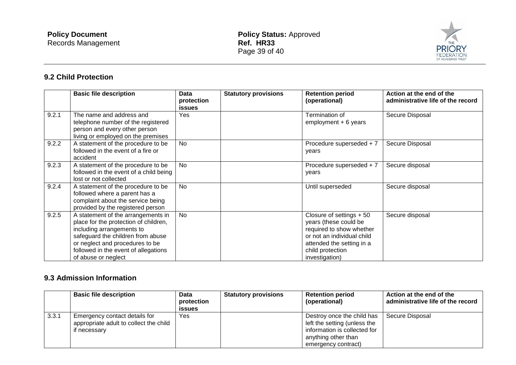

### **9.2 Child Protection**

|       | <b>Basic file description</b>                                                                                                                                                                                                                   | <b>Data</b><br>protection | <b>Statutory provisions</b> | <b>Retention period</b><br>(operational)                                                                                                                                        | Action at the end of the<br>administrative life of the record |
|-------|-------------------------------------------------------------------------------------------------------------------------------------------------------------------------------------------------------------------------------------------------|---------------------------|-----------------------------|---------------------------------------------------------------------------------------------------------------------------------------------------------------------------------|---------------------------------------------------------------|
|       |                                                                                                                                                                                                                                                 | <b>issues</b>             |                             |                                                                                                                                                                                 |                                                               |
| 9.2.1 | The name and address and<br>telephone number of the registered<br>person and every other person<br>living or employed on the premises                                                                                                           | Yes                       |                             | Termination of<br>$employment + 6 years$                                                                                                                                        | Secure Disposal                                               |
| 9.2.2 | A statement of the procedure to be<br>followed in the event of a fire or<br>accident                                                                                                                                                            | <b>No</b>                 |                             | Procedure superseded + 7<br>years                                                                                                                                               | Secure Disposal                                               |
| 9.2.3 | A statement of the procedure to be<br>followed in the event of a child being<br>lost or not collected                                                                                                                                           | <b>No</b>                 |                             | Procedure superseded + 7<br>years                                                                                                                                               | Secure disposal                                               |
| 9.2.4 | A statement of the procedure to be<br>followed where a parent has a<br>complaint about the service being<br>provided by the registered person                                                                                                   | <b>No</b>                 |                             | Until superseded                                                                                                                                                                | Secure disposal                                               |
| 9.2.5 | A statement of the arrangements in<br>place for the protection of children,<br>including arrangements to<br>safeguard the children from abuse<br>or neglect and procedures to be<br>followed in the event of allegations<br>of abuse or neglect | <b>No</b>                 |                             | Closure of settings $+50$<br>years (these could be<br>required to show whether<br>or not an individual child<br>attended the setting in a<br>child protection<br>investigation) | Secure disposal                                               |

### **9.3 Admission Information**

|       | <b>Basic file description</b>                                                           | <b>Data</b><br>protection<br><b>issues</b> | <b>Statutory provisions</b> | <b>Retention period</b><br>(operational)                                                                                                 | Action at the end of the<br>administrative life of the record |
|-------|-----------------------------------------------------------------------------------------|--------------------------------------------|-----------------------------|------------------------------------------------------------------------------------------------------------------------------------------|---------------------------------------------------------------|
| 3.3.1 | Emergency contact details for<br>appropriate adult to collect the child<br>if necessary | Yes                                        |                             | Destroy once the child has<br>left the setting (unless the<br>information is collected for<br>anything other than<br>emergency contract) | Secure Disposal                                               |